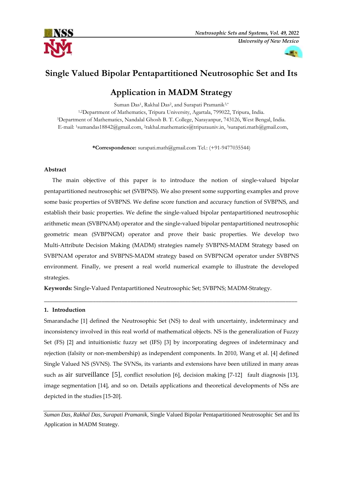



# **Single Valued Bipolar Pentapartitioned Neutrosophic Set and Its**

# **Application in MADM Strategy**

Suman Das<sup>1</sup>, Rakhal Das<sup>2</sup>, and Surapati Pramanik<sup>3,\*</sup> 1,2Department of Mathematics, Tripura University, Agartala, 799022, Tripura, India. <sup>3</sup>Department of Mathematics, Nandalal Ghosh B. T. College, Narayanpur, 743126, West Bengal, India. E-mail: <sup>1</sup>sumandas18842@gmail.com, <sup>2</sup>[rakhal.mathematics@tripurauniv.in,](mailto:rakhal.mathematics@tripurauniv.in) <sup>3</sup>[surapati.math@gmail.com,](mailto:surapati.math@gmail.com)

**\*Correspondence:** [surapati.math@gmail.com](mailto:surapati.math@gmail.com) Tel.: (+91-9477035544)

### **Abstract**

The main objective of this paper is to introduce the notion of single-valued bipolar pentapartitioned neutrosophic set (SVBPNS). We also present some supporting examples and prove some basic properties of SVBPNS. We define score function and accuracy function of SVBPNS, and establish their basic properties. We define the single-valued bipolar pentapartitioned neutrosophic arithmetic mean (SVBPNAM) operator and the single-valued bipolar pentapartitioned neutrosophic geometric mean (SVBPNGM) operator and prove their basic properties. We develop two Multi-Attribute Decision Making (MADM) strategies namely SVBPNS-MADM Strategy based on SVBPNAM operator and SVBPNS-MADM strategy based on SVBPNGM operator under SVBPNS environment. Finally, we present a real world numerical example to illustrate the developed strategies.

**Keywords:** Single-Valued Pentapartitioned Neutrosophic Set; SVBPNS; MADM-Strategy.

### **1. Introduction**

Smarandache [1] defined the Neutrosophic Set (NS) to deal with uncertainty, indeterminacy and inconsistency involved in this real world of mathematical objects. NS is the generalization of Fuzzy Set (FS) [2] and intuitionistic fuzzy set (IFS) [3] by incorporating degrees of indeterminacy and rejection (falsity or non-membership) as independent components. In 2010, Wang et al. [4] defined Single Valued NS (SVNS). The SVNSs, its variants and extensions have been utilized in many areas such as air surveillance [5], conflict resolution [6], decision making [7-12] fault diagnosis [13], image segmentation [14], and so on. Details applications and theoretical developments of NSs are depicted in the studies [15-20].

\_\_\_\_\_\_\_\_\_\_\_\_\_\_\_\_\_\_\_\_\_\_\_\_\_\_\_\_\_\_\_\_\_\_\_\_\_\_\_\_\_\_\_\_\_\_\_\_\_\_\_\_\_\_\_\_\_\_\_\_\_\_\_\_\_\_\_\_\_\_\_\_\_\_\_\_\_\_\_\_\_\_\_\_\_\_\_\_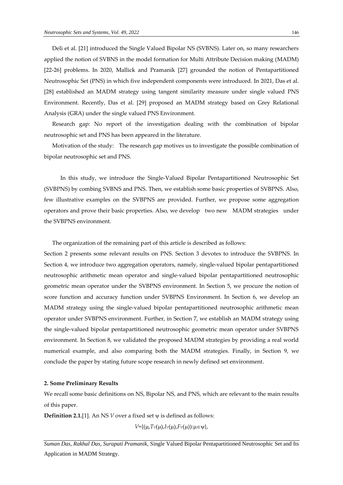Deli et al. [21] introduced the Single Valued Bipolar NS (SVBNS). Later on, so many researchers applied the notion of SVBNS in the model formation for Multi Attribute Decision making (MADM) [22-26] problems. In 2020, Mallick and Pramanik [27] grounded the notion of Pentapartitioned Neutrosophic Set (PNS) in which five independent components were introduced. In 2021, Das et al. [28] established an MADM strategy using tangent similarity measure under single valued PNS Environment. Recently, Das et al. [29] proposed an MADM strategy based on Grey Relational Analysis (GRA) under the single valued PNS Environment.

Research gap: No report of the investigation dealing with the combination of bipolar neutrosophic set and PNS has been appeared in the literature.

Motivation of the study: The research gap motives us to investigate the possible combination of bipolar neutrosophic set and PNS.

In this study, we introduce the Single-Valued Bipolar Pentapartitioned Neutrosophic Set (SVBPNS) by combing SVBNS and PNS. Then, we establish some basic properties of SVBPNS. Also, few illustrative examples on the SVBPNS are provided. Further, we propose some aggregation operators and prove their basic properties. Also, we develop two new MADM strategies under the SVBPNS environment.

The organization of the remaining part of this article is described as follows:

Section 2 presents some relevant results on PNS. Section 3 devotes to introduce the SVBPNS. In Section 4, we introduce two aggregation operators, namely, single-valued bipolar pentapartitioned neutrosophic arithmetic mean operator and single-valued bipolar pentapartitioned neutrosophic geometric mean operator under the SVBPNS environment. In Section 5, we procure the notion of score function and accuracy function under SVBPNS Environment. In Section 6, we develop an MADM strategy using the single-valued bipolar pentapartitioned neutrosophic arithmetic mean operator under SVBPNS environment. Further, in Section 7, we establish an MADM strategy using the single-valued bipolar pentapartitioned neutrosophic geometric mean operator under SVBPNS environment. In Section 8, we validated the proposed MADM strategies by providing a real world numerical example, and also comparing both the MADM strategies. Finally, in Section 9, we conclude the paper by stating future scope research in newly defined set environment.

#### **2. Some Preliminary Results**

We recall some basic definitions on NS, Bipolar NS, and PNS, which are relevant to the main results of this paper.

**Definition 2.1.**[1]. An NS  $V$  over a fixed set  $\psi$  is defined as follows:

 $V = \{(\mu, Tv(\mu), Iv(\mu), Fv(\mu)) : \mu \in V\},\$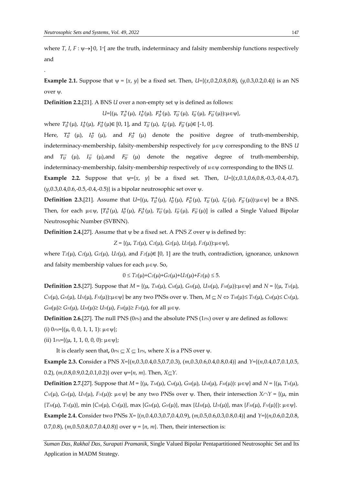.

where  $T$ ,  $I$ ,  $F : \psi \rightarrow ]0$ , 1<sup>+</sup> are the truth, indeterminacy and falsity membership functions respectively and

**Example 2.1.** Suppose that  $\psi = \{x, y\}$  be a fixed set. Then,  $U=\{(x,0.2,0.8,0.8), (y,0.3,0.2,0.4)\}$  is an NS over  $\psi$ .

**Definition 2.2.**[21]. A BNS  $U$  over a non-empty set  $\psi$  is defined as follows:

 $U = \{(\mu, T_U^+(\mu), I_U^+(\mu), F_U^+(\mu), T_U^-(\mu), I_U^-(\mu), F_U^-(\mu)) : \mu \in \Psi\},\$ 

where  $T_U^+(\mu)$ ,  $I_U^+(\mu)$ ,  $F_U^+(\mu) \in [0, 1]$ , and  $T_U^-(\mu)$ ,  $I_U^-(\mu)$ ,  $F_U^-(\mu) \in [-1, 0]$ .

Here,  $T_U^+$  ( $\mu$ ),  $I_U^+$  ( $\mu$ ), and  $F_U^+$  ( $\mu$ ) denote the positive degree of truth-membership, indeterminacy-membership, falsity-membership respectively for  $\mu \in \psi$  corresponding to the BNS *U* and  $T_U^-$  ( $\mu$ ),  $I_U^-$  ( $\mu$ ), and  $F_U^-$  ( $\mu$ ) denote the negative degree of truth-membership, indeterminacy-membership, falsity-membership respectively of  $u \in \psi$  corresponding to the BNS *U*.

**Example 2.2.** Suppose that  $\psi = \{x, y\}$  be a fixed set. Then,  $U = \{(x,0.1,0.6,0.8,-0.3,-0.4,-0.7),\}$  $(y, 0.3, 0.4, 0.6, -0.5, -0.4, -0.5)$  is a bipolar neutrosophic set over  $\psi$ .

**Definition 2.3.[21].** Assume that  $U = \{ (\mu, T_U^+(\mu), I_U^+(\mu), F_U^+(\mu), T_U^-(\mu), I_U^-(\mu), F_U^-(\mu)) : \mu \in \Psi \}$  be a BNS. Then, for each  $\mu \in \psi$ ,  $[T_U^+(\mu)$ ,  $I_U^+(\mu)$ ,  $F_U^-(\mu)$ ,  $I_U^-(\mu)$ ,  $F_U^-(\mu)$ ] is called a Single Valued Bipolar Neutrosophic Number (SVBNN).

**Definition 2.4.**[27]. Assume that  $\psi$  be a fixed set. A PNS *Z* over  $\psi$  is defined by:

 $Z = \{(\mu, T_z(\mu), C_z(\mu), G_z(\mu), U_z(\mu), F_z(\mu)) : \mu \in \Psi\},\$ 

where  $T_z(\mu)$ ,  $C_z(\mu)$ ,  $G_z(\mu)$ ,  $U_z(\mu)$ , and  $F_z(\mu) \in [0, 1]$  are the truth, contradiction, ignorance, unknown and falsity membership values for each  $\mu \in \Psi$ . So,

 $0 \leq T_Z(\mu) + C_Z(\mu) + G_Z(\mu) + U_Z(\mu) + F_Z(\mu) \leq 5.$ 

**Definition 2.5.**[27]. Suppose that  $M = \{ (\mu, T_M(\mu), C_M(\mu), G_M(\mu), U_M(\mu), F_M(\mu)) : \mu \in \Psi \}$  and  $N = \{ (\mu, T_M(\mu), F_M(\mu), G_M(\mu), G_M(\mu), F_M(\mu)) : \mu \in \Psi \}$  $C_N(\mu)$ ,  $G_N(\mu)$ ,  $U_N(\mu)$ ,  $F_N(\mu)$ : $\mu \in \Psi$ } be any two PNSs over  $\psi$ . Then,  $M \subseteq N \Leftrightarrow T_M(\mu) \leq T_N(\mu)$ ,  $C_M(\mu) \leq C_N(\mu)$ ,  $G_M(\mu) \geq G_N(\mu)$ ,  $U_M(\mu) \geq U_N(\mu)$ ,  $F_M(\mu) \geq F_N(\mu)$ , for all  $\mu \in \Psi$ .

**Definition 2.6.**[27]. The null PNS ( $0_{PN}$ ) and the absolute PNS ( $1_{PN}$ ) over  $\psi$  are defined as follows:

(i)  $0_{PN} = \{ (\mu, 0, 0, 1, 1, 1) : \mu \in \Psi \}$ ;

(ii)  $1_{PN} = \{(\mu, 1, 1, 0, 0, 0) : \mu \in \Psi\}$ ;

It is clearly seen that,  $0_{PN} \subseteq X \subseteq 1_{PN}$ , where *X* is a PNS over  $\psi$ .

**Example 2.3. C**onsider a PNS *X=*{(*n*,0.3,0.4,0.5,0.7,0.3), (*m*,0.3,0.6,0.4,0.8,0.4)} and *Y*={(*n*,0.4,0.7,0.1,0.5, 0.2),  $(m,0.8,0.9,0.2,0.1,0.2)$  over  $\psi = \{n, m\}$ . Then,  $X \subseteq Y$ .

**Definition 2.7.**[27]. Suppose that  $M = \{ (\mu, T_M(\mu), C_M(\mu), G_M(\mu), U_M(\mu), F_M(\mu)) : \mu \in \Psi \}$  and  $N = \{ (\mu, T_N(\mu), F_N(\mu), G_M(\mu), G_M(\mu), G_M(\mu), G_M(\mu), G_M(\mu), G_M(\mu) \}$  $C_N(\mu)$ ,  $G_N(\mu)$ ,  $U_N(\mu)$ ,  $F_N(\mu)$ ):  $\mu \in \Psi$  be any two PNSs over  $\Psi$ . Then, their intersection  $X \cap Y = \{(\mu, \text{ min})\}$  $\{T_M(\mu), T_N(\mu)\}\$ , min  $\{C_M(\mu), C_N(\mu)\}\$ , max  $\{G_M(\mu), G_N(\mu)\}\$ , max  $\{U_M(\mu), U_N(\mu)\}\$ , max  $\{F_M(\mu), F_N(\mu)\}\$ :  $\mu \in \mathbb{V}\}\$ . **Example 2.4. C**onsider two PNSs *X=* {(*n*,0.4,0.3,0.7,0.4,0.9), (*m*,0.5,0.6,0.3,0.8,0.4)} and *Y*={(*n*,0.6,0.2,0.8, 0.7,0.8),  $(m, 0.5, 0.8, 0.7, 0.4, 0.8)$  over  $\psi = \{n, m\}$ . Then, their intersection is: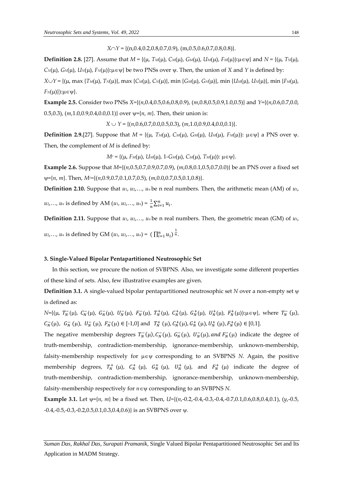*X*∩*Y* = {(n,0.4,0.2,0.8,0.7,0.9), (m,0.5,0.6,0.7,0.8,0.8)}.

**Definition 2.8.** [27]. Assume that  $M = \{(\mu, T_M(\mu), C_M(\mu), G_M(\mu), U_M(\mu), F_M(\mu)) : \mu \in \Psi\}$  and  $N = \{(\mu, T_M(\mu), F_M(\mu), G_M(\mu), G_M(\mu), G_M(\mu), F_M(\mu)) : \mu \in \Psi\}$ *C*<sup>*N*</sup>( $\mu$ ), *G*<sup>*N*</sup>( $\mu$ ), *F<sub>N</sub>*( $\mu$ )): $\mu \in \psi$ } be two PNSs over  $\psi$ . Then, the union of *X* and *Y* is defined by:  $X \cup Y = \{(\mu, \max\{T_M(\mu), T_N(\mu)\}, \max\{C_M(\mu), C_N(\mu)\}, \min\{G_M(\mu), G_N(\mu)\}, \min\{U_M(\mu), U_N(\mu)\}, \min\{F_M(\mu), H_N(\mu)\}, \min\{H_M(\mu), H_N(\mu)\}$ 

 $F_N(\mu)$ : $\mu \in \Psi$ .

**Example 2.5.** Consider two PNSs *X=*{(*n*,0.4,0.5,0.6,0.8,0.9), (*m*,0.8,0.5,0.9,1.0,0.5)} and *Y*={(*n*,0.6,0.7,0.0, 0.5,0.3),  $(m,1.0,0.9,0.4,0.0,0.1)$  over  $\psi = \{n, m\}$ . Then, their union is:

 $X \cup Y = \{(n, 0.6, 0.7, 0.0, 0.5, 0.3), (m, 1.0, 0.9, 0.4, 0.0, 0.1)\}.$ 

**Definition 2.9.**[27]. Suppose that  $M = \{(\mu, T_M(\mu), C_M(\mu), G_M(\mu), U_M(\mu), F_M(\mu)) : \mu \in \Psi\}$  a PNS over  $\psi$ . Then, the complement of *M* is defined by:

 $M<sup>c</sup> = {(\mu, F<sub>M</sub>(\mu), U<sub>M</sub>(\mu), 1 - G<sub>M</sub>(\mu), C<sub>M</sub>(\mu), T<sub>M</sub>(\mu)) : \mu \in \Psi}$ .

**Example 2.6.** Suppose that *M*={(*n*,0.5,0.7,0.9,0.7,0.9), (*m*,0.8,0.1,0.5,0.7,0.0)} be an PNS over a fixed set ={*n*, *m*}. Then, *Mc=*{(*n*,0.9,0.7,0.1,0.7,0.5), (*m*,0.0,0.7,0.5,0.1,0.8)}.

**Definition 2.10.** Suppose that  $u_1, u_2, \ldots, u_n$  be n real numbers. Then, the arithmetic mean (AM) of  $u_1$ ,

*u*<sub>2</sub>,..., *u<sub>n</sub>* is defined by AM (*u*<sub>1</sub>, *u*<sub>2</sub>,..., *u<sub>n</sub>*) =  $\frac{1}{n} \sum_{i=1}^{n} u_i$ .

**Definition 2.11.** Suppose that  $u_1, u_2, \ldots, u_n$  be n real numbers. Then, the geometric mean (GM) of  $u_1$ , *u*<sub>2</sub>,..., *u<sub>n</sub>* is defined by GM  $(u_1, u_2, ..., u_n) = (\prod_{i=1}^n u_i)^{\frac{1}{n}}$ .

## **3. Single-Valued Bipolar Pentapartitioned Neutrosophic Set**

In this section, we procure the notion of SVBPNS. Also, we investigate some different properties of these kind of sets. Also, few illustrative examples are given.

**Definition 3.1.** A single-valued bipolar pentapartitioned neutrosophic set *N* over a non-empty set  $\psi$ is defined as:

 $N = \{(\mu, T_N^-(\mu), C_N^-(\mu), G_N^-(\mu), U_N^-(\mu), F_N^-(\mu), T_N^+(\mu), C_N^+(\mu), G_N^+(\mu), U_N^+(\mu), F_N^+(\mu)\}$ ; where  $T_N^-(\mu)$ ,  $C_N^-(\mu)$ ,  $G_N^-(\mu)$ ,  $U_N^-(\mu)$ ,  $F_N^-(\mu) \in [-1,0]$  and  $T_N^+(\mu)$ ,  $C_N^+(\mu)$ ,  $G_N^+(\mu)$ ,  $U_N^+(\mu)$ ,  $F_N^+(\mu) \in [0,1]$ .

The negative membership degrees  $T_N^-(\mu)$ ,  $C_N^-(\mu)$ ,  $G_N^-(\mu)$ ,  $U_N^-(\mu)$ , and  $F_N^-(\mu)$  indicate the degree of truth-membership, contradiction-membership, ignorance-membership, unknown-membership, falsity-membership respectively for  $\mu \in \Psi$  corresponding to an SVBPNS *N*. Again, the positive membership degrees,  $T_N^+$  ( $\mu$ ),  $C_N^+$  ( $\mu$ ),  $G_N^+$  ( $\mu$ ),  $U_N^+$  ( $\mu$ ), and  $F_N^+$  ( $\mu$ ) indicate the degree of truth-membership, contradiction-membership, ignorance-membership, unknown-membership, falsity-membership respectively for  $n \in \Psi$  corresponding to an SVBPNS *N*.

**Example 3.1.** Let  $\psi$ ={*n*, *m*} be a fixed set. Then, *U*={(*n*,-0.2,-0.4,-0.3,-0.4,-0.7,0.1,0.6,0.8,0.4,0.1), (*y*,-0.5,  $-0.4, -0.5, -0.3, -0.2, 0.5, 0.1, 0.3, 0.4, 0.6$ } is an SVBPNS over  $\psi$ .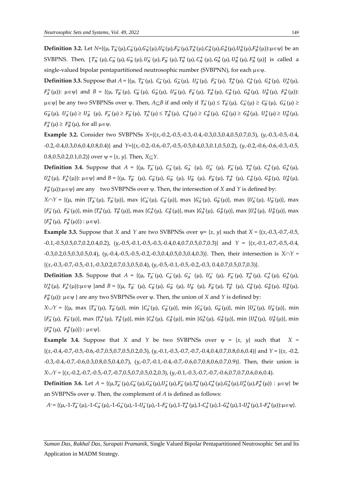**Definition 3.2.** Let  $N = \{(\mu, T_N^-(\mu), C_N^-(\mu), G_N^-(\mu), U_N^-(\mu), F_N^-(\mu), T_N^+(\mu), C_N^+(\mu), G_N^+(\mu), U_N^+(\mu), F_N^+(\mu)\}$  be an SVBPNS. Then,  $[T_N^-(\mu), C_N^-(\mu), G_N^-(\mu), U_N^-(\mu), F_N^-(\mu), T_N^+(\mu), C_N^+(\mu), G_N^+(\mu), U_N^+(\mu), F_N^+(\mu)]$  is called a single-valued bipolar pentapartitioned neutrosophic number (SVBPNN), for each  $\mu \in \Psi$ .

**Definition 3.3.** Suppose that  $A = \{(\mu, T_A^-(\mu), C_A^-(\mu), G_A^-(\mu), U_A^-(\mu), F_A^-(\mu), T_A^+(\mu), C_A^+(\mu), G_A^+(\mu), U_A^+(\mu),$  $F_A^+(\mu)$ :  $\mu \in \psi$ } and  $B = \{(\mu, T_B^-(\mu), C_B^-(\mu), G_B^-(\mu), U_B^-(\mu), F_B^-(\mu), T_B^+(\mu), C_B^+(\mu), G_B^+(\mu), U_B^+(\mu), F_B^+(\mu)\}$  $\mu \in \psi$ } be any two SVBPNSs over  $\psi$ . Then,  $A \subseteq B$  if and only if  $T_A^-(\mu) \le T_B^-(\mu)$ ,  $C_A^-(\mu) \ge C_B^-(\mu)$ ,  $G_A^-(\mu) \ge$  $G_B^-(\mu)$ ,  $U_A^-(\mu) \ge U_B^-(\mu)$ ,  $F_A^-(\mu) \ge F_B^-(\mu)$ ,  $T_A^+(\mu) \le T_B^+(\mu)$ ,  $C_A^+(\mu) \ge C_B^+(\mu)$ ,  $G_A^+(\mu) \ge G_B^+(\mu)$ ,  $U_A^+(\mu) \ge U_B^+(\mu)$ ,  $F_A^+(\mu) \ge F_B^+(\mu)$ , for all  $\mu \in \Psi$ .

**Example 3.2.** Consider two SVBPNSs *X=*{(*x*,-0.2,-0.5,-0.3,-0.4,-0.3,0.3,0.4,0.5,0.7,0.3), (*y*,-0.3,-0.5,-0.4, -0.2,-0.4,0.3,0.6,0.4,0.8,0.4)} and *Y*={(*x*,-0.2,-0.6,-0.7,-0.5,-0.5,0.4,0.3,0.1,0.5,0.2), (*y*,-0.2,-0.6,-0.6,-0.3,-0.5, 0.8,0.5,0.2,0.1,0.2)} over  $\psi = \{x, y\}$ . Then,  $X \subseteq Y$ .

**Definition 3.4.** Suppose that  $A = \{(\mu, T_A^-(\mu), C_A^-(\mu), G_A^-(\mu), U_A^-(\mu), F_A^-(\mu), T_A^+(\mu), C_A^+(\mu), G_A^+(\mu),$  $U_A^+(\mu)$ ,  $F_A^+(\mu)$ :  $\mu \in \psi$ } and  $B = \{(\mu, T_B^-(\mu), C_B^-(\mu), G_B^-(\mu), U_B^-(\mu), F_B^-(\mu), T_B^+(\mu), T_B^+(\mu), C_B^+(\mu), U_B^+(\mu),$  $F_B^+(\mu)$ : $\mu \in \Psi$ } are any two SVBPNSs over  $\psi$ . Then, the intersection of *X* and *Y* is defined by:

 $X \cap Y = \{(\mu, \min \{T_A^-(\mu), T_B^-(\mu)\}, \max \{C_A^-(\mu), C_B^-(\mu)\}, \max \{G_A^-(\mu), G_B^-(\mu)\}, \max \{U_A^-(\mu), U_B^-(\mu)\}, \max \{U_A^-(\mu), U_B^-(\mu)\}\}$  ${F_A^-(\mu)}, F_B^-(\mu)},$  min  ${T_A^+(\mu)}, T_B^+(\mu)},$  max  ${C_A^+(\mu)}, C_B^+(\mu)},$  max  ${G_A^+(\mu)}, G_B^+(\mu)},$  max  ${U_A^+(\mu)}, U_B^+(\mu)},$  max  ${F_A^+(\mu), F_B^+(\mu)}; \mu \in \psi}.$ 

**Example 3.3.** Suppose that *X* and *Y* are two SVBPNSs over  $\psi = \{x, y\}$  such that  $X = \{(x, -0.3, -0.7, -0.5,$ -0.1,-0.5,0.5,0.7,0.2,0.4,0.2), (*y*,-0.5,-0.1,-0.5,-0.3,-0.4,0.4,0.7,0.5,0.7,0.3)} and *Y* = {(*x*,-0.1,-0.7,-0.5,-0.4, -0.3,0.2,0.5,0.3,0.5,0.4), (*y*,-0.4,-0.5,-0.5,-0.2,-0.3,0.4,0.5,0.3,0.4,0.3)}. Then, their intersection is *XY =* {(*x*,-0.3,-0.7,-0.5,-0.1,-0.3,0.2,0.7,0.3,0.5,0.4), (*y*,-0.5,-0.1,-0.5,-0.2,-0.3, 0.4,0.7,0.5,0.7,0.3)}.

**Definition 3.5.** Suppose that  $A = \{(\mu, T_A^-(\mu), C_A^-(\mu), G_A^-(\mu), U_A^-(\mu), F_A^-(\mu), T_A^+(\mu), C_A^+(\mu), G_A^+(\mu),$  $U_A^+(\mu)$ ,  $F_A^+(\mu)$ : $\mu \in \psi$  }and  $B = \{(\mu, T_B^-(\mu), C_B^-(\mu), G_B^-(\mu), U_B^-(\mu), F_B^-(\mu), T_B^+(\mu), C_B^+(\mu), G_B^+(\mu), U_B^+(\mu),$  $F_B^+(\mu)$ :  $\mu \in \Psi$  } are any two SVBPNSs over  $\psi$ . Then, the union of *X* and *Y* is defined by:

 $X \cup Y = \{ (\mu, \max \{ T_A^-(\mu), T_B^-(\mu) \}, \min \{ C_A^-(\mu), C_B^-(\mu) \}, \min \{ G_A^-(\mu), G_B^-(\mu) \}, \min \{ U_A^-(\mu), U_B^-(\mu) \}, \min \{ U_A^-(\mu), U_B^-(\mu) \} \}$  ${F_A^-(\mu)}$ ,  ${F_B^-(\mu)}$ , max  ${T_A^+(\mu)}$ ,  ${T_B^+(\mu)}$ , min  ${C_A^+(\mu)}$ ,  $C_B^+(\mu)}$ , min  ${G_A^+(\mu)}$ ,  $G_B^+(\mu)}$ , min  ${U_A^+(\mu)}$ ,  $U_B^+(\mu)}$ , min  ${F_A^+(\mu), F_B^+(\mu)}; \mu \in \psi}.$ 

**Example 3.4.** Suppose that *X* and *Y* be two SVBPNSs over  $\psi = \{x, y\}$  such that  $X =$ {(*x*,-0.4,-0.7,-0.5,-0.6,-0.7,0.5,0.7,0.5,0.2,0.3), (*y*,-0.1,-0.3,-0.7,-0.7,-0.4,0.4,0.7,0.8,0.6,0.4)} and *Y* = {(*x*, -0.2, -0.3,-0.4,-0.7,-0.6,0.3,0.8,0.5,0.4,0.7), (*y*,-0.7,-0.1,-0.4,-0.7,-0.6,0.7,0.8,0.6,0.7,0.9)}. Then, their union is *XY =* {(*x*,-0.2,-0.7,-0.5,-0.7,-0.7,0.5,0.7,0.5,0.2,0.3), (*y*,-0.1,-0.3,-0.7,-0.7,-0.6,0.7,0.7,0.6,0.6,0.4).

**Definition 3.6.** Let  $A = \{(\mu, T_A^-(\mu), C_A^-(\mu), G_A^-(\mu), U_A^-(\mu), F_A^-(\mu), T_A^+(\mu), C_A^+(\mu), G_A^+(\mu), U_A^+(\mu), F_A^+(\mu)) : \mu \in \Psi\}$  be an SVBPNSs over  $\psi$ . Then, the complement of  $A$  is defined as follows:

 $A^c = \{(\mu, -1 - T_A^-(\mu), -1 - C_A^-(\mu), -1 - G_A^-(\mu), -1 - U_A^-(\mu), -1 - F_A^-(\mu), 1 - T_A^+(\mu), 1 - C_A^+(\mu), 1 - G_A^+(\mu), 1 - U_A^+(\mu), 1 - F_A^+(\mu)) : \mu \in \mathbb{V}\}.$ 

*Suman Das, Rakhal Das, Surapati Pramanik,* Single Valued Bipolar Pentapartitioned Neutrosophic Set and Its Application in MADM Strategy.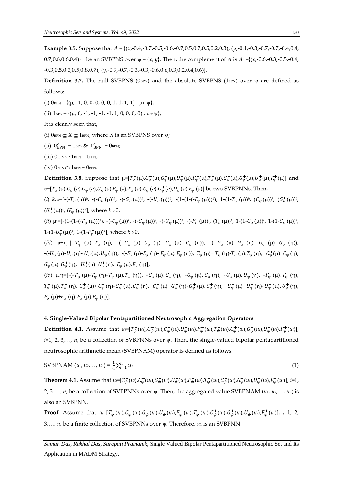**Example 3.5.** Suppose that  $A = \{(x, -0.4, -0.7, -0.5, -0.6, -0.7, 0.5, 0.7, 0.5, 0.2, 0.3), (y, -0.1, -0.3, -0.7, -0.7, -0.4, 0.4, 0.4, 0.5, 0.7, 0.5, 0.7, 0.5, 0.7, 0.8, 0.7, 0.7, -0.7, -0.7, -0.4, 0.4, 0.4, 0.7, 0.5, 0.7, 0.7, 0.7, 0.7$ 0.7,0.8,0.6,0.4)} be an SVBPNS over  $\psi = \{x, y\}$ . Then, the complement of *A* is  $A<sup>c</sup> = \{(x, -0.6, -0.3, -0.5, -0.4,$ -0.3,0.5,0.3,0.5,0.8,0.7), (*y*,-0.9,-0.7,-0.3,-0.3,-0.6,0.6,0.3,0.2,0.4,0.6)}.

**Definition 3.7.** The null SVBPNS ( $0$ <sub>BPN</sub>) and the absolute SVBPNS ( $1$ <sub>BPN</sub>) over  $\psi$  are defined as follows:

(i)  $0_{\text{BPN}} = \{ (\mu, -1, 0, 0, 0, 0, 0, 1, 1, 1, 1) : \mu \in \Psi \};$ 

(ii)  $1_{\text{BPN}} = \{(\mu, 0, -1, -1, -1, -1, 1, 0, 0, 0, 0) : \mu \in \Psi\};$ 

It is clearly seen that**,**

(i)  $0_{\text{BPN}} \subseteq X \subseteq 1_{\text{BPN}}$ , where *X* is an SVBPNS over  $\psi$ ;

(ii)  $0_{\text{BPN}}^c = 1_{\text{BPN}} \& 1_{\text{BPN}}^c = 0_{\text{BPN}};$ 

(iii)  $0_{\text{BPN}} \cup 1_{\text{BPN}} = 1_{\text{BPN}}$ ;

 $(iv)$  OBPN  $\cap$  1BPN = OBPN.

**Definition 3.8.** Suppose that  $\mu = [T_{\psi}^-(\mu), C_{\psi}^-(\mu), G_{\psi}^-(\mu), U_{\psi}^-(\mu), T_{\psi}^-(\mu), T_{\psi}^+(\mu), C_{\psi}^+(\mu), G_{\psi}^+(\mu), U_{\psi}^+(\mu), F_{\psi}^+(\mu)]$  and  $v=[T_{\psi}^-(v),C_{\psi}^-(v),G_{\psi}^-(v),U_{\psi}^-(v),F_{\psi}^-(v),T_{\psi}^+(v),C_{\psi}^+(v),G_{\psi}^+(v),U_{\psi}^+(v),F_{\psi}^+(v)]$  be two SVBPNNs. Then,

(*i*)  $k.\mu = [-(T_{\psi}^{-}(\mu))^{k}, -(C_{\psi}^{-}(\mu))^{k}, -(-G_{\psi}^{-}(\mu))^{k}, -(-U_{\psi}^{-}(\mu))^{k}, -(1-(1-(-F_{\psi}^{-}(\mu)))^{k}), 1-(1-T_{\psi}^{+}(\mu))^{k}, (C_{\psi}^{+}(\mu))^{k}, (G_{\psi}^{+}(\mu))^{k})]$  $(U^+_{\psi}(\mu))$ <sup>k</sup>,  $(F^+_{\psi}(\mu))$ <sup>k</sup>], where  $k > 0$ .

 $(iii)$   $\mu^k = [-(1-(1-(-T_w^-(\mu)))^k)$ ,  $-(-C_w^-(\mu))^k$ ,  $-(-G_w^-(\mu))^k$ ,  $-(-U_w^-(\mu))^k$ ,  $-(-F_w^-(\mu))^k$ ,  $(T_w^+(\mu))^k$ ,  $1-(1-C_w^+(\mu))^k$ ,  $1-(1-G_w^+(\mu))^k$ ,  $1-(1-U^+_{\psi}(\mu))^k$ ,  $1-(1-F^+_{\psi}(\mu))^k$ , where  $k > 0$ .

(*iii*)  $\mu + \eta = [-T_{\psi}^-(\mu) \cdot T_{\psi}^-(\eta)$ , -(-  $C_{\psi}^-(\mu)$ -  $C_{\psi}^-(\eta)$ -  $C_{\psi}^-(\mu) \cdot C_{\psi}^-(\eta)$ ), -(-  $G_{\psi}^-(\mu)$ -  $G_{\psi}^-(\eta)$ -  $G_{\psi}^-(\mu) \cdot G_{\psi}^-(\eta)$ ),  $-(- U_\psi^-(\mu) - U_\psi^-(\eta) - U_\psi^-(\mu) . U_\psi^-(\eta) )$ ,  $- (- F_\psi^-(\mu) - F_\psi^-(\eta) - F_\psi^-(\mu) . F_\psi^-(\eta) )$ ,  $T_\psi^+(\mu) + T_\psi^+(\eta) - T_\psi^+(\mu) . T_\psi^+(\eta)$ ,  $C_\psi^+(\mu) . C_\psi^+(\eta)$ ,  $G_{\psi}^+(\mu)$ .  $G_{\psi}^+(\eta)$ ,  $U_{\psi}^+(\mu)$ .  $U_{\psi}^+(\eta)$ ,  $F_{\psi}^+(\mu)$ .  $F_{\psi}^+(\eta)$ ];

(*iv*)  $\mu.\eta$ =[-(- $T_{\psi}^{-}(\mu)$ - $T_{\psi}^{-}(\eta)$ - $T_{\psi}^{-}(\mu)$ . $T_{\psi}^{-}(\eta)$ ), - $C_{\psi}^{-}(\mu)$ . $C_{\psi}^{-}(\eta)$ , - $G_{\psi}^{-}(\mu)$ . $G_{\psi}^{-}(\eta)$ , - $U_{\psi}^{-}(\mu)$ . $U_{\psi}^{-}(\eta)$ , - $F_{\psi}^{-}(\mu)$ . $F_{\psi}^{-}(\eta)$ ,  $F_{\psi}^{-}(\eta)$ , - $F_{\psi}^{-}(\eta)$ , - $T_{\psi}^+ (\mu)$ ,  $T_{\psi}^+ (\eta)$ ,  $C_{\psi}^+ (\mu)$ + $C_{\psi}^+ (\eta)$ - $C_{\psi}^+ (\mu)$ ,  $C_{\psi}^+ (\mu)$ ,  $G_{\psi}^+ (\mu)$ - $G_{\psi}^+ (\mu)$ ,  $G_{\psi}^+ (\mu)$ ,  $U_{\psi}^+ (\mu)$ ,  $U_{\psi}^+ (\mu)$ ,  $U_{\psi}^+ (\mu)$ ,  $U_{\psi}^+ (\mu)$ ,  $U_{\psi}^+ (\eta)$ ,  $F_{\psi}^+(\mu)+F_{\psi}^+(\eta)-F_{\psi}^+(\mu).F_{\psi}^+(\eta)].$ 

## **4. Single-Valued Bipolar Pentapartitioned Neutrosophic Aggregation Operators**

**Definition 4.1.** Assume that  $u = [T_{\psi}(u_i), C_{\psi}(u_i), G_{\psi}(u_i), U_{\psi}(u_i), F_{\psi}(u_i), T_{\psi}(u_i), C_{\psi}(u_i), G_{\psi}(u_i), U_{\psi}(u_i), F_{\psi}(u_i)]$  $i=1, 2, 3,..., n$ , be a collection of SVBPNNs over  $\psi$ . Then, the single-valued bipolar pentapartitioned neutrosophic arithmetic mean (SVBPNAM) operator is defined as follows:

$$
SVBPNAM (u_1, u_2,..., u_n) = \frac{1}{n} \sum_{i=1}^{n} u_i
$$
 (1)

**Theorem 4.1.** Assume that  $u = [T_{\psi}(u_i), C_{\psi}(u_i), G_{\psi}(u_i), U_{\psi}(u_i), F_{\psi}(u_i), T_{\psi}(u_i), C_{\psi}(u_i), G_{\psi}(u_i), U_{\psi}(u_i), F_{\psi}(u_i)]$ ,  $i=1$ , 2, 3,..., *n*, be a collection of SVBPNNs over  $\psi$ . Then, the aggregated value SVBPNAM (*u*<sub>1</sub>, *u*<sub>2</sub>,..., *u*<sub>n</sub>) is also an SVBPNN.

**Proof.** Assume that  $u=[T_{\psi}(u_i), C_{\psi}(u_i), G_{\psi}(u_i), U_{\psi}(u_i), F_{\psi}(u_i), F_{\psi}(u_i), T_{\psi}(u_i), C_{\psi}(u_i), G_{\psi}(u_i), F_{\psi}(u_i), F_{\psi}(u_i)]$ , i=1, 2, 3,..., *n*, be a finite collection of SVBPNNs over  $\psi$ . Therefore, *u*<sub>1</sub> is an SVBPNN.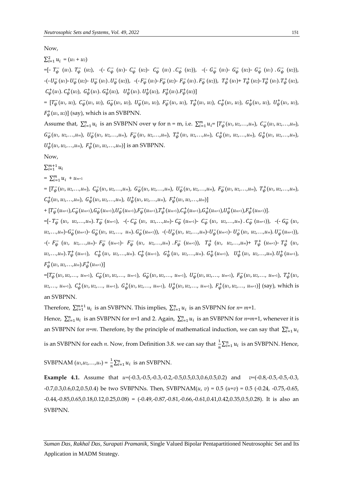Now,

 $\sum_{i=1}^{2} u_i = (u_1 + u_2)$ 

 $=[- T_{\psi}^{-} (u_1) \cdot T_{\psi}^{-} (u_2)$ ,  $-(- C_{\psi}^{-} (u_1) - C_{\psi}^{-} (u_2) - C_{\psi}^{-} (u_1) \cdot C_{\psi}^{-} (u_2)$ ,  $-(- G_{\psi}^{-} (u_1) - G_{\psi}^{-} (u_2) - G_{\psi}^{-} (u_1) \cdot G_{\psi}^{-} (u_2)$ ,  $(-U_{\psi}^-(u_1) - U_{\psi}^-(u_2) - U_{\psi}^-(u_1) - U_{\psi}^-(u_2)), -(-F_{\psi}^-(u_1) - F_{\psi}^-(u_2) - F_{\psi}^-(u_1) - F_{\psi}^-(u_2)), T_{\psi}^+(u_1) + T_{\psi}^+(u_2) - T_{\psi}^+(u_1) - T_{\psi}^+(u_2)$  $C^+_{\psi}(u_1)$ .  $C^+_{\psi}(u_2)$ ,  $G^+_{\psi}(u_1)$ .  $G^+_{\psi}(u_2)$ ,  $U^+_{\psi}(u_1)$ .  $U^+_{\psi}(u_2)$ ,  $F^+_{\psi}(u_1)$ .  $F^+_{\psi}(u_2)$ ]

=  $[T_{\psi}(u_1, u_2), C_{\psi}(u_1, u_2), G_{\psi}(u_1, u_2), U_{\psi}(u_1, u_2), F_{\psi}(u_1, u_2), T_{\psi}(u_1, u_2), C_{\psi}(u_1, u_2), G_{\psi}(u_1, u_2), U_{\psi}(u_1, u_2),$  $F^+_\psi(u_1, u_2]$  (say), which is an SVBPNN.

Assume that,  $\sum_{i=1}^{n} u_i$  is an SVBPNN over  $\psi$  for  $n = m$ , i.e.  $\sum_{i=1}^{m} u_i = [T_{\psi}(u_1, u_2, \dots, u_m), C_{\psi}(u_1, u_2, \dots, u_m)]$  $G_{\psi}^-(u_1, u_2,...,u_m)$ ,  $U_{\psi}^-(u_1, u_2,...,u_m)$ ,  $F_{\psi}^-(u_1, u_2,...,u_m)$ ,  $T_{\psi}^+(u_1, u_2,...,u_m)$ ,  $G_{\psi}^+(u_1, u_2,...,u_m)$ ,  $G_{\psi}^+(u_1, u_2,...,u_m)$ ,  $U_{\psi}^{+}(u_{1}, u_{2},...,u_{m}), F_{\psi}^{+}(u_{1}, u_{2},...,u_{m})]$  is an SVBPNN.

Now,

 $\sum_{i=1}^{m+1} u_i$ 

 $= \sum_{i=1}^{m} u_i + u_{m+1}$ 

=  $[T_{\psi}^-(u_1, u_2,...,u_m), C_{\psi}^-(u_1, u_2,...,u_m), G_{\psi}^-(u_1, u_2,...,u_m), U_{\psi}^-(u_1, u_2,...,u_m), F_{\psi}^-(u_1, u_2,...,u_m), T_{\psi}^+(u_1, u_2,...,u_m),$  $C^+_{\psi}(u_1, u_2, \ldots, u_m)$ ,  $G^+_{\psi}(u_1, u_2, \ldots, u_m)$ ,  $U^+_{\psi}(u_1, u_2, \ldots, u_m)$ ,  $F^+_{\psi}(u_1, u_2, \ldots, u_m)$ ]

 $+\,[T_{\psi}^-(u_{^{m+1}}),C_{\psi}^-(u_{^{m+1}}),G_{\psi}^-(u_{^{m+1}}),U_{\psi}^-(u_{^{m+1}}),F_{\psi}^-(u_{^{m+1}}),T_{\psi}^+(u_{^{m+1}}),C_{\psi}^+(u_{^{m+1}}),G_{\psi}^+(u_{^{m+1}}),U_{\psi}^+(u_{^{m+1}}),F_{\psi}^+(u_{^{m+1}})].$ 

=[-  $T_{\psi}^{-}$  (u1, u2,...,um).  $T_{\psi}^{-}$  (um+1), -(-  $C_{\psi}^{-}$  (u1, u2,...,um)-  $C_{\psi}^{-}$  (um+1)-  $C_{\psi}^{-}$  (u1, u2,...,um).  $C_{\psi}^{-}$  (um+1)), -(-  $G_{\psi}^{-}$  (u1,  $u_2,...,u_m$ )- $G_{\psi}^-(u_{m+1})$ -  $G_{\psi}^-(u_1, u_2,..., u_m)$ .  $G_{\psi}^-(u_{m+1})$ ),  $-(-U_{\psi}^-(u_1, u_2,...,u_m)-U_{\psi}^-(u_{m+1})$ -  $U_{\psi}^-(u_1, u_2,...,u_m)$ .  $U_{\psi}^-(u_{m+1})$ ), -(-  $F_{\psi}^-$  (u<sub>1</sub>, u<sub>2</sub>,...,u<sub>m</sub>)-  $F_{\psi}^-$  (u<sub>m+1</sub>)-  $F_{\psi}^-$  (u<sub>1</sub>, u<sub>2</sub>,...,u<sub>m</sub>)  $F_{\psi}^-$  (u<sub>m+1</sub>)),  $T_{\psi}^+$  (u<sub>1</sub>, u<sub>2</sub>,...,u<sub>m</sub>)+  $T_{\psi}^+$  (u<sub>m+1</sub>)-  $T_{\psi}^+$  (u<sub>1</sub>,  $u_2,...,u_m$ ).  $T^+_{\psi}(u_{m+1})$ ,  $C^+_{\psi}(u_1, u_2,...,u_m)$ .  $C^+_{\psi}(u_{m+1})$ ,  $G^+_{\psi}(u_1, u_2,...,u_m)$ .  $G^+_{\psi}(u_{m+1})$ ,  $U^+_{\psi}(u_1, u_2,...,u_m)$ .  $U^+_{\psi}(u_{m+1})$ ,  $F^+_{\psi}(u_1, u_2, \ldots, u_m) . F^+_{\psi}(u_{m+1})]$ 

 $=[T^+_{\psi}(u_1, u_2,..., u_{m+1}), C^+_{\psi}(u_1, u_2,..., u_{m+1}), G^-_{\psi}(u_1, u_2,..., u_{m+1}), U^+_{\psi}(u_1, u_2,..., u_{m+1}), F^+_{\psi}(u_1, u_2,..., u_{m+1}), T^+_{\psi}(u_1, u_2,..., u_{m+1})]$  $u_2,..., u_{m+1}$ ),  $C^+_\psi(u_1, u_2,..., u_{m+1})$ ,  $G^+_\psi(u_1, u_2,..., u_{m+1})$ ,  $U^+_\psi(u_1, u_2,..., u_{m+1})$ ,  $F^+_\psi(u_1, u_2,..., u_{m+1})$ ] (say), which is an SVBPNN.

Therefore,  $\sum_{i=1}^{m+1} u_i$  is an SVBPNN. This implies,  $\sum_{i=1}^{n} u_i$  is an SVBPNN for *n*= *m*+1.

Hence,  $\sum_{i=1}^{n} u_i$  is an SVBPNN for *n*=1 and 2. Again,  $\sum_{i=1}^{n} u_i$  is an SVBPNN for *n*=*m*+1, whenever it is an SVBPNN for *n=m*. Therefore, by the principle of mathematical induction, we can say that  $\sum_{i=1}^{n} u_i$ is an SVBPNN for each *n*. Now, from Definition 3.8. we can say that  $\frac{1}{n}\sum_{i=1}^n u_i$  is an SVBPNN. Hence,

 $SVBPNAM (u_1, u_2, ..., u_n) = \frac{1}{n}$  $\frac{1}{n}\sum_{i=1}^{n}u_i$  is an SVBPNN.

**Example 4.1.** Assume that *u=*(-0.3,-0.5,-0.3,-0.2,-0.5,0.5,0.3,0.6,0.5,0.2) and *v=*(-0.8,-0.5,-0.5,-0.3, -0.7,0.3,0.6,0.2,0.5,0.4) be two SVBPNNs. Then, SVBPNAM(*u*, *v*) = 0.5 (*u+v*) = 0.5 (-0.24, -0.75,-0.65,  $-0.44, -0.85, 0.65, 0.18, 0.12, 0.25, 0.08$  =  $(-0.49, -0.87, -0.81, -0.66, -0.61, 0.41, 0.42, 0.35, 0.5, 0.28)$ . It is also an SVBPNN.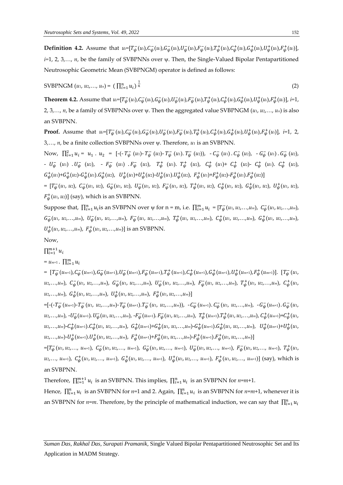**Definition 4.2.** Assume that  $u=[T_{\psi}(u_i), C_{\psi}(u_i), G_{\psi}(u_i), U_{\psi}(u_i), F_{\psi}(u_i), F_{\psi}(u_i), C_{\psi}(u_i), G_{\psi}(u_i), U_{\psi}(u_i), F_{\psi}(u_i)]$ *i*=1, 2, 3,..., *n*, be the family of SVBPNNs over  $\psi$ . Then, the Single-Valued Bipolar Pentapartitioned Neutrosophic Geometric Mean (SVBPNGM) operator is defined as follows:

$$
SVBPNGM (u_1, u_2,..., u_n) = (\prod_{i=1}^n u_i)^{\frac{1}{n}}
$$
 (2)

**Theorem 4.2.** Assume that  $u = [T_{\psi}(u_i), C_{\psi}(u_i), G_{\psi}(u_i), U_{\psi}(u_i), F_{\psi}(u_i), T_{\psi}(u_i), C_{\psi}(u_i), G_{\psi}(u_i), U_{\psi}(u_i), F_{\psi}(u_i)]$ ,  $i=1$ , 2, 3,..., *n*, be a family of SVBPNNs over  $\psi$ . Then the aggregated value SVBPNGM  $(u_1, u_2, \ldots, u_n)$  is also an SVBPNN.

**Proof.** Assume that  $u=[T_{\psi}(u_i), C_{\psi}(u_i), G_{\psi}(u_i), U_{\psi}(u_i), F_{\psi}(u_i), F_{\psi}(u_i), T_{\psi}(u_i), C_{\psi}(u_i), G_{\psi}(u_i), F_{\psi}(u_i), F_{\psi}(u_i)]$ , i=1, 2, 3,..., *n*, be a finite collection SVBPNNs over  $\psi$ . Therefore, *u*<sub>1</sub> is an SVBPNN.

Now,  $\prod_{i=1}^{2} u_i = u_1 \cdot u_2 = [-(T_{\psi}^-(u_1) - T_{\psi}^-(u_2) - T_{\psi}^-(u_1) \cdot T_{\psi}^-(u_2))$ ,  $-C_{\psi}^-(u_1) \cdot C_{\psi}^-(u_2)$ ,  $-C_{\psi}^-(u_1) \cdot G_{\psi}^-(u_2)$ ,  $- U_{\psi}^-$  (*u*<sub>1</sub>)  $\cdot U_{\psi}^-$  (*u*<sub>2</sub>), − F<sub>ν</sub><sup>−</sup><sub>ν</sub><sup>−</sup> (*u*<sub>1</sub>)  $\cdot F_{\psi}^-$  (*u*<sub>2</sub>),  $T_{\psi}^+$  (*u*<sub>1</sub>),  $C_{\psi}^+$  (*u*<sub>1</sub>)+  $C_{\psi}^+$  (*u*<sub>2</sub>)-  $C_{\psi}^+$  (*u*<sub>1</sub>).  $C_{\psi}^+$  (*u*<sub>2</sub>),  $G^+_{\psi}(u_1) + G^+_{\psi}(u_2) - G^+_{\psi}(u_1) \cdot G^+_{\psi}(u_2), \quad U^+_{\psi}(u_1) + U^+_{\psi}(u_2) - U^+_{\psi}(u_1) \cdot U^+_{\psi}(u_2), \quad F^+_{\psi}(u_1) + F^+_{\psi}(u_2) - F^+_{\psi}(u_1) \cdot F^+_{\psi}(u_2)$ 

=  $[T_{\psi}(u_1, u_2), C_{\psi}(u_1, u_2), G_{\psi}(u_1, u_2), U_{\psi}(u_1, u_2), F_{\psi}(u_1, u_2), T_{\psi}(u_1, u_2), C_{\psi}(u_1, u_2), G_{\psi}(u_1, u_2), U_{\psi}(u_1, u_2),$  $F^+_\psi(u_1, u_2]$  (say), which is an SVBPNN.

Suppose that,  $\prod_{i=1}^{n} u_i$  is an SVBPNN over  $\psi$  for  $n = m$ , i.e.  $\prod_{i=1}^{m} u_i = [T_{\psi}(u_1, u_2,...,u_m), C_{\psi}(u_1, u_2,...,u_m)]$  $G_{\psi}^-(u_1, u_2,...,u_m)$ ,  $U_{\psi}^-(u_1, u_2,...,u_m)$ ,  $F_{\psi}^-(u_1, u_2,...,u_m)$ ,  $T_{\psi}^+(u_1, u_2,...,u_m)$ ,  $C_{\psi}^+(u_1, u_2,...,u_m)$ ,  $G_{\psi}^+(u_1, u_2,...,u_m)$ ,  $U_{\psi}^{+}(u_{1}, u_{2},...,u_{m}), F_{\psi}^{+}(u_{1}, u_{2},...,u_{m})]$  is an SVBPNN.

Now,

 $\prod_{i=1}^{m+1} u_i$ 

 $= u_{m+1}$ .  $\prod_{i=1}^{m} u_i$ 

 $=\; [\,T_{\psi}^-(u_{^{m+1}}),C_{\psi}^-(u_{^{m+1}}),G_{\psi}^-(u_{^{m+1}}),U_{\psi}^-(u_{^{m+1}}),F_{\psi}^-(u_{^{m+1}}),T_{\psi}^+(u_{^{m+1}}),C_{\psi}^+(u_{^{m+1}}),G_{\psi}^+(u_{^{m+1}}),U_{\psi}^+(u_{^{m+1}}),F_{\psi}^+(u_{^{m+1}})].\; [\,T_{\psi}^-(u_{^{m+1}}),G_{\psi}^-(u_{^{m+1}}),G_{\psi}^-(u_{^{m+1}}),G_{\psi}^-(u_{^{m+1}}),G_{$  $u_2,...,u_m$ ),  $C_{\psi}^-(u_1, u_2,...,u_m)$ ,  $G_{\psi}^-(u_1, u_2,...,u_m)$ ,  $U_{\psi}^-(u_1, u_2,...,u_m)$ ,  $F_{\psi}^-(u_1, u_2,...,u_m)$ ,  $T_{\psi}^+(u_1, u_2,...,u_m)$ ,  $C_{\psi}^+(u_1, u_2,...,u_m)$ *u*2,…,*um*), + (*u*1, *u*2,…,*um*), + (*u*1, *u*2,…,*um*), + (*u*1, *u*2,…,*um*)]

=[-(-T<sub>ψ</sub> (um+1)-T<sub>ψ</sub> (u1, u2,...,um)-T<sub>ψ</sub> (um+1).T<sub>ψ</sub> (u1, u2,...,um)), -C<sub>ψ</sub> (um+1).C<sub>ψ</sub> (u1, u2,...,um), -G<sub>ψ</sub> (um+1).G<sub>ψ</sub> (u1, u2,...,um), - $U_{\psi}^-(u_{m+1})$ .  $U_{\psi}^-(u_1, u_2,...,u_m)$ , - $F_{\psi}^-(u_{m+1})$ .  $F_{\psi}^-(u_1, u_2,...,u_m)$ ,  $T_{\psi}^+(u_{m+1})$ .  $T_{\psi}^+(u_1, u_2,...,u_m)$ ,  $C_{\psi}^+(u_{m+1})$ + $C_{\psi}^+(u_1, u_2,...,u_m)$  $u_2,...,u_m$ )- $C^+_{\psi}(u_{m+1})$ . $C^+_{\psi}(u_1, u_2,...,u_m)$ ,  $G^+_{\psi}(u_{m+1})$ + $G^+_{\psi}(u_1, u_2,...,u_m)$ - $G^+_{\psi}(u_{m+1})$ . $G^+_{\psi}(u_1, u_2,...,u_m)$ ,  $U^+_{\psi}(u_{m+1})$ + $U^+_{\psi}(u_1, u_2,...,u_m)$  $u_2,...,u_m$ )- $U^+_{\psi}(u_{m+1}).U^+_{\psi}(u_1,u_2,...,u_m)$ ,  $F^+_{\psi}(u_{m+1})+F^+_{\psi}(u_1,u_2,...,u_m)-F^+_{\psi}(u_{m+1}).F^+_{\psi}(u_1,u_2,...,u_m)]$ 

 $=[T^+_{\psi}(u_1, u_2,..., u_{m+1}), C^+_{\psi}(u_1, u_2,..., u_{m+1}), G^-_{\psi}(u_1, u_2,..., u_{m+1}), U^+_{\psi}(u_1, u_2,..., u_{m+1}), F^+_{\psi}(u_1, u_2,..., u_{m+1}), T^+_{\psi}(u_1, u_2,..., u_{m+1})]$  $u_2,..., u_{m+1}$ ),  $C^+_\psi(u_1, u_2,..., u_{m+1})$ ,  $G^+_\psi(u_1, u_2,..., u_{m+1})$ ,  $U^+_\psi(u_1, u_2,..., u_{m+1})$ ,  $F^+_\psi(u_1, u_2,..., u_{m+1})$ ] (say), which is an SVBPNN.

Therefore,  $\prod_{i=1}^{m+1} u_i$  is an SVBPNN. This implies,  $\prod_{i=1}^{n} u_i$  is an SVBPNN for *n*=*m*+1.

Hence,  $\prod_{i=1}^n u_i$  is an SVBPNN for *n*=1 and 2. Again,  $\prod_{i=1}^n u_i$  is an SVBPNN for *n*=*m*+1, whenever it is an SVBPNN for *n=m*. Therefore, by the principle of mathematical induction, we can say that  $\prod_{i=1}^{n} u_i$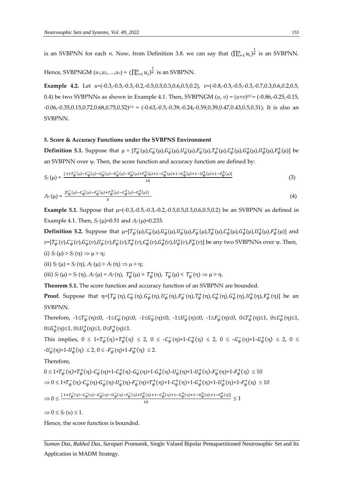is an SVBPNN for each *n*. Now, from Definition 3.8. we can say that  $(\prod_{i=1}^n u_i)^{\frac{1}{n}}$  is an SVBPNN.

Hence, SVBPNGM  $(u_1,u_2,...,u_n)$  =  $\left(\prod_{i=1}^n u_i\right)^{\frac{1}{n}}$  is an SVBPNN.

**Example 4.2.** Let *u=*(-0.3,-0.5,-0.3,-0.2,-0.5,0.5,0.3,0.6,0.5,0.2), *v=*(-0.8,-0.5,-0.5,-0.3,-0.7,0.3,0.6,0.2,0.5, 0.4) be two SVBPNNs as shown in Example 4.1. Then, SVBPNGM (*u*, *v*) = (*u+v*) 0.5 = (-0.86,-0.25,-0.15, -0.06,-0.35,0.15,0.72,0.68,0.75,0.52) 0.5 = (-0.63,-0.5,-0.39,-0.24,-0.59,0.39,0.47,0.43,0.5,0.31). It is also an SVBPNN.

#### **5. Score & Accuracy Functions under the SVBPNS Environment**

**Definition 5.1.** Suppose that  $\mu = [T_{\psi}(\mu), C_{\psi}(\mu), G_{\psi}(\mu), U_{\psi}(\mu), F_{\psi}(\mu), T_{\psi}^{\dagger}(\mu), C_{\psi}^{\dagger}(\mu), G_{\psi}^{\dagger}(\mu), U_{\psi}^{\dagger}(\mu), F_{\psi}^{\dagger}(\mu)]$  be an SVBPNN over  $\psi$ . Then, the score function and accuracy function are defined by:

$$
S_f(\mu) = \frac{[1 + T_{\psi}(\mu) - C_{\psi}(\mu) - G_{\psi}(\mu) - H_{\psi}(\mu) - H_{\psi}(\mu) + T_{\psi}(\mu) + H_{\psi}(\mu) + H - G_{\psi}(\mu) + H - G_{\psi}(\mu) + H - H_{\psi}(\mu) + H - H_{\psi}(\mu)]}{10}
$$
(3)

$$
A_f(\mu) = \frac{[r_{\psi}^-(\mu) - c_{\psi}^-(\mu) - r_{\psi}^-(\mu) + r_{\psi}^+(\mu) - c_{\psi}^+(\mu) - r_{\psi}^+(\mu)]}{3}
$$
(4)

**Example 5.1.** Suppose that  $\mu = (-0.3, -0.5, -0.3, -0.2, -0.5, 0.5, 0.3, 0.6, 0.5, 0.2)$  be an SVBPNN as defined in Example 4.1. Then,  $S_f(\mu)=0.51$  and  $A_f(\mu)=0.233$ .

**Definition 5.2.** Suppose that  $\mu = [T_{\psi}^-(\mu), C_{\psi}^-(\mu), G_{\psi}^-(\mu), U_{\psi}^-(\mu), F_{\psi}^-(\mu), T_{\psi}^+(\mu), C_{\psi}^+(\mu), G_{\psi}^+(\mu), U_{\psi}^+(\mu), F_{\psi}^+(\mu)]$  and  $v$ =[ $T_\psi^-(v)$ , $C_\psi^-(v)$ , $G_\psi^-(v)$ , $U_\psi^-(v)$ , $F_\psi^+(v)$ , $C_\psi^+(v)$ , $G_\psi^+(v)$ , $U_\psi^+(v)$ , $F_\psi^+(v)$ ] be any two SVBPNNs over  $\psi$ . Then, (i)  $S_f(\mu) > S_f(\eta) \Rightarrow \mu > \eta;$ 

(ii)  $S_f(\mu) = S_f(\eta), A_f(\mu) > A_f(\eta) \Rightarrow \mu > \eta;$ 

(iii)  $S_f(\mu) = S_f(\eta)$ ,  $A_f(\mu) = A_f(\eta)$ ,  $T^+_{\psi}(\mu) > T^+_{\psi}(\eta)$ ,  $T^-_{\psi}(\mu) < T^-_{\psi}(\eta) \Rightarrow \mu > \eta$ .

**Theorem 5.1.** The score function and accuracy function of an SVBPNN are bounded.

**Proof.** Suppose that  $\eta = [T_{\psi}^-(\eta), C_{\psi}^-(\eta), G_{\psi}^-(\eta), U_{\psi}^-(\eta), F_{\psi}^-(\eta), T_{\psi}^+(\eta), C_{\psi}^+(\eta), G_{\psi}^+(\eta), U_{\psi}^+(\eta), F_{\psi}^+(\eta)]$  be an SVBPNN.

Therefore,  $-1 \le T_{\psi}^-(\eta) \le 0$ ,  $-1 \le C_{\psi}^-(\eta) \le 0$ ,  $-1 \le G_{\psi}^-(\eta) \le 0$ ,  $-1 \le U_{\psi}^-(\eta) \le 0$ ,  $-1 \le F_{\psi}^-(\eta) \le 0$ ,  $0 \le T_{\psi}^+(\eta) \le 1$ ,  $0 \le C_{\psi}^+(\eta) \le 1$ ,  $0 \leq G_{\psi}^{+}(\eta) \leq 1$ ,  $0 \leq U_{\psi}^{+}(\eta) \leq 1$ ,  $0 \leq F_{\psi}^{+}(\eta) \leq 1$ .

This implies,  $0 \leq 1 + T_{\psi}^{-}(\eta) + T_{\psi}^{+}(\eta) \leq 2$ ,  $0 \leq -C_{\psi}^{-}(\eta) + 1 - C_{\psi}^{+}(\eta) \leq 2$ ,  $0 \leq -G_{\psi}^{-}(\eta) + 1 - G_{\psi}^{+}(\eta) \leq 2$ ,  $0 \leq$  $-U_{\psi}^{-}(\eta)+1-U_{\psi}^{+}(\eta) \leq 2, 0 \leq -F_{\psi}^{-}(\eta)+1-F_{\psi}^{+}(\eta) \leq 2.$ 

Therefore,

$$
0 \le 1 + T_{\psi}^-(\eta) + T_{\psi}^+(\eta) - C_{\psi}^-(\eta) + 1 - C_{\psi}^+(\eta) - G_{\psi}^-(\eta) + 1 - G_{\psi}^+(\eta) - U_{\psi}^-(\eta) + 1 - U_{\psi}^+(\eta) - F_{\psi}^-(\eta) + 1 - F_{\psi}^+(\eta) \le 10
$$
  
\n
$$
\Rightarrow 0 \le 1 + T_{\psi}^-(\eta) - C_{\psi}^-(\eta) - G_{\psi}^-(\eta) - U_{\psi}^-(\eta) - F_{\psi}^-(\eta) + T_{\psi}^+(\eta) + 1 - C_{\psi}^+(\eta) + 1 - G_{\psi}^+(\eta) + 1 - U_{\psi}^+(\eta) + 1 - F_{\psi}^+(\eta) \le 10
$$
  
\n
$$
\Rightarrow 0 \le \frac{[1 + T_{\psi}^-(\eta) - C_{\psi}^-(\eta) - G_{\psi}^-(\eta) - U_{\psi}^-(\eta) - F_{\psi}^-(\eta) + T_{\psi}^+(\eta) + 1 - C_{\psi}^+(\eta) + 1 - G_{\psi}^+(\eta) + 1 - F_{\psi}^+(\eta)]}{10} \le 1
$$

 $\Rightarrow 0 \leq S_f(u) \leq 1.$ 

Hence, the score function is bounded.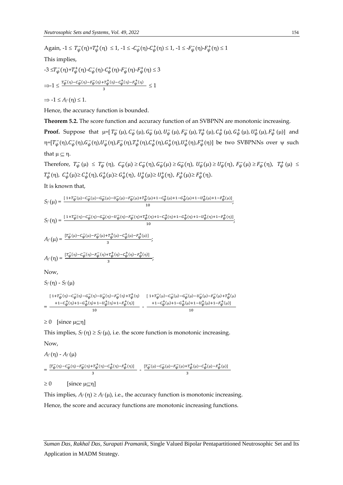Again,  $-1 \leq T_{\psi}^-(\eta) + T_{\psi}^+(\eta) \leq 1$ ,  $-1 \leq -C_{\psi}^-(\eta) - C_{\psi}^+(\eta) \leq 1$ ,  $-1 \leq -F_{\psi}^-(\eta) - F_{\psi}^+(\eta) \leq 1$ 

This implies,

$$
-3 \le T_{\psi}^-(\eta) + T_{\psi}^+(\eta) - C_{\psi}^-(\eta) - C_{\psi}^+(\eta) - F_{\psi}^-(\eta) - F_{\psi}^+(\eta) \le 3
$$
  

$$
\Rightarrow -1 \le \frac{T_{\psi}^-(\eta) - C_{\psi}^-(\eta) - F_{\psi}^-(\eta) + T_{\psi}^+(\eta) - C_{\psi}^+(\eta) - F_{\psi}^+(\eta)}{3} \le 1
$$

 $\Rightarrow$  -1  $\leq$  *A*<sub>f</sub>(n)  $\leq$  1.

Hence, the accuracy function is bounded.

**Theorem 5.2.** The score function and accuracy function of an SVBPNN are monotonic increasing.

**Proof.** Suppose that  $\mu = [T_{\psi}^-(\mu), C_{\psi}^-(\mu), G_{\psi}^-(\mu), U_{\psi}^-(\mu), F_{\psi}^-(\mu), T_{\psi}^+(\mu), C_{\psi}^+(\mu), G_{\psi}^+(\mu), U_{\psi}^+(\mu), F_{\psi}^+(\mu)]$  and  $\eta$ = $[T_\psi^-(\eta),C_\psi^-(\eta),G_\psi^-(\eta),U_\psi^-(\eta),F_\psi^+(\eta),T_\psi^+(\eta),G_\psi^+(\eta),G_\psi^+(\eta),H_\psi^+(\eta)]$  be two SVBPNNs over  $\psi$  such that  $\mu \subset \eta$ .

Therefore,  $T_{\psi}^{-}(\mu) \leq T_{\psi}^{-}(\eta)$ ,  $C_{\psi}^{-}(\mu) \geq C_{\psi}^{-}(\eta)$ ,  $G_{\psi}^{-}(\mu) \geq G_{\psi}^{-}(\eta)$ ,  $U_{\psi}^{-}(\mu) \geq U_{\psi}^{-}(\eta)$ ,  $F_{\psi}^{-}(\mu) \geq F_{\psi}^{-}(\eta)$ ,  $T_{\psi}^{+}(\mu) \leq$  $T^+_{\psi}(\eta)$ ,  $C^+_{\psi}(\mu) \ge C^+_{\psi}(\eta)$ ,  $G^+_{\psi}(\mu) \ge G^+_{\psi}(\eta)$ ,  $U^+_{\psi}(\mu) \ge U^+_{\psi}(\eta)$ ,  $F^+_{\psi}(\mu) \ge F^+_{\psi}(\eta)$ .

It is known that,

$$
S_{f}(\mu) = \frac{[1 + T_{\psi}^{-}(\mu) - C_{\psi}^{-}(\mu) - G_{\psi}^{-}(\mu) - U_{\psi}^{-}(\mu) - F_{\psi}^{-}(\mu) + T_{\psi}^{+}(\mu) + 1 - C_{\psi}^{+}(\mu) + 1 - C_{\psi}^{+}(\mu) + 1 - U_{\psi}^{+}(\mu) + 1 - F_{\psi}^{+}(\mu)]}{10};
$$
\n
$$
S_{f}(\eta) = \frac{[1 + T_{\psi}^{-}(\eta) - C_{\psi}^{-}(\eta) - G_{\psi}^{-}(\eta) - U_{\psi}^{-}(\eta) - F_{\psi}^{-}(\eta) + T_{\psi}^{+}(\eta) + 1 - C_{\psi}^{+}(\eta) + 1 - G_{\psi}^{+}(\eta) + 1 - U_{\psi}^{+}(\eta) + 1 - F_{\psi}^{+}(\eta)]}{10};
$$
\n
$$
A_{f}(\mu) = \frac{[T_{\psi}^{-}(\mu) - C_{\psi}^{-}(\mu) - F_{\psi}^{-}(\mu) + T_{\psi}^{+}(\mu) - C_{\psi}^{+}(\mu) - F_{\psi}^{+}(\mu)]}{3};
$$
\n
$$
A_{f}(\eta) = \frac{[T_{\psi}^{-}(\eta) - C_{\psi}^{-}(\eta) - F_{\psi}^{-}(\eta) + T_{\psi}^{+}(\eta) - C_{\psi}^{+}(\eta) - F_{\psi}^{+}(\eta)]}{3};
$$
\nNow,  
\n
$$
S_{f}(\eta) - S_{f}(\mu)
$$
\n
$$
= \frac{[1 + T_{\psi}^{-}(\eta) - C_{\psi}^{-}(\eta) - G_{\psi}^{-}(\eta) - U_{\psi}^{-}(\eta) - F_{\psi}^{-}(\eta) + T_{\psi}^{+}(\eta)}{10};
$$
\n
$$
= \frac{+1 - C_{\psi}^{+}(\eta) + 1 - C_{\psi}^{+}(\eta) + 1 - U_{\psi}^{+}(\eta) + 1 - F_{\psi}^{+}(\eta)}{10};
$$
\n
$$
= \frac{+1 - C_{\psi}^{+}(\eta) + 1 - C_{\psi}^{+}(\eta) + 1 - C_{\psi}^{+}(\eta) + 1 - F_{\psi}^{+}(\eta)}{10};
$$
\n<

10

3

 $\geq 0$  [since  $\mu \leq \eta$ ]

 $10$ 

This implies,  $S_f(\eta) \geq S_f(\mu)$ , i.e. the score function is monotonic increasing.

Now,

 $A_f(\eta) - A_f(\mu)$  $= \frac{[T_{\psi}^{-}(\eta)-C_{\psi}^{-}(\eta)-F_{\psi}^{-}(\eta)+T_{\psi}^{+}(\eta)-C_{\psi}^{+}(\eta)-F_{\psi}^{+}(\eta)]}{2}$  $\frac{1}{3} \frac{1}{3} \frac{1}{3} \left[ T^+_{\psi}(\eta) - T^+_{\psi}(\eta) \right] - \frac{1}{3} \left[ T^-_{\psi}(\mu) - T^-_{\psi}(\mu) - T^-_{\psi}(\mu) + T^+_{\psi}(\mu) - T^+_{\psi}(\mu) - F^+_{\psi}(\mu) \right]$ 

 $\geq 0$  [since  $\mu \subseteq \eta$ ]

This implies,  $A_f(\eta) \ge A_f(\mu)$ , i.e., the accuracy function is monotonic increasing. Hence, the score and accuracy functions are monotonic increasing functions.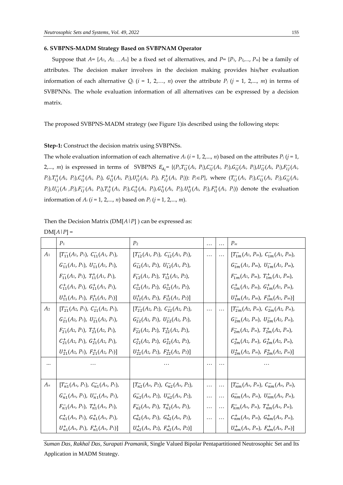### **6. SVBPNS-MADM Strategy Based on SVBPNAM Operator**

Suppose that  $A = \{A_1, A_2, ..., A_n\}$  be a fixed set of alternatives, and  $P = \{P_1, P_2, ..., P_m\}$  be a family of attributes. The decision maker involves in the decision making provides his/her evaluation information of each alternative  $Q_i$  ( $i = 1, 2,..., n$ ) over the attribute  $P_j$  ( $j = 1, 2,..., m$ ) in terms of SVBPNNs. The whole evaluation information of all alternatives can be expressed by a decision matrix.

The proposed SVBPNS-MADM strategy (see Figure 1)is described using the following steps:

#### **Step-1:** Construct the decision matrix using SVBPNSs.

The whole evaluation information of each alternative  $A_i$  ( $i = 1, 2,..., n$ ) based on the attributes  $P_j$  ( $j = 1,$ 2,..., *m*) is expressed in terms of SVBPNS  $E_{A_i} = \{(P_j, T_{ij}(A_i, P_j), C_{ij}(A_i, P_j), G_{ij}(A_i, P_j), U_{ij}(A_i, P_j), F_{ij}(A_i, P_j), F_{ij}(A_i, P_j)\}$  $P_j$ ), $T_{ij}^+(A_i, P_j)$ , $C_{ij}^+(A_i, P_j)$ ,  $G_{ij}^+(A_i, P_j)$ , $U_{ij}^+(A_i, P_j)$ ,  $F_{ij}^+(A_i, P_j)$ :  $P_j \in P$ }, where  $(T_{ij}^-(A_i, P_j)$ , $C_{ij}^-(A_i, P_j)$ , $G_{ij}^-(A_i, P_j)$  $P_j$ ),  $U_{ij}^-(A_i, P_j)$ ,  $F_{ij}^-(A_i, P_j)$ ,  $T_{ij}^+(A_i, P_j)$ ,  $C_{ij}^+(A_i, P_j)$ ,  $G_{ij}^+(A_i, P_j)$ ,  $U_{ij}^+(A_i, P_j)$ ,  $F_{ij}^+(A_i, P_j)$ ) denote the evaluation information of  $A_i$  ( $i = 1, 2,..., n$ ) based on  $P_i$  ( $j = 1, 2,..., m$ ).

Then the Decision Matrix (DM[*A*|*P*] ) can be expressed as:

 $DM[A|P] =$ 

|                | P <sub>1</sub>                                 | P <sub>2</sub>                                         | .        | $\ddotsc$ | $P_m$                                                 |
|----------------|------------------------------------------------|--------------------------------------------------------|----------|-----------|-------------------------------------------------------|
| $A_1$          | $[T_{11}^{-}(A_1, P_1), C_{11}^{-}(A_1, P_1),$ | $[T_{12}^{-}(A_1, P_2), C_{12}^{-}(A_1, P_2),$         | $\cdots$ | $\cdots$  | $[T_{1m}^{-}(A_1, P_m), C_{1m}^{-}(A_1, P_m)]$        |
|                | $G_{11}^{-}(A_1, P_1), U_{11}^{-}(A_1, P_1),$  | $G_{12}^{-}(A_1, P_2), U_{12}^{-}(A_1, P_2),$          |          |           | $G^-_{1m}(A_1, P_m)$ , $U^-_{1m}(A_1, P_m)$ ,         |
|                | $F_{11}^-(A_1, P_1), T_{11}^+(A_1, P_1),$      | $F_{12}^-(A_1, P_2), T_{12}^+(A_1, P_2),$              |          |           | $F_{1m}^-(A_1, P_m)$ , $T_{1m}^+(A_1, P_m)$ ,         |
|                | $C_{11}^+(A_1, P_1), G_{11}^+(A_1, P_1),$      | $C_{12}^+(A_1, P_2)$ , $G_{12}^+(A_1, P_2)$ ,          |          |           | $C_{1m}^+(A_1, P_m)$ , $G_{1m}^+(A_1, P_m)$ ,         |
|                | $U_{11}^+(A_1, P_1), F_{11}^+(A_1, P_1)]$      | $U_{12}^+(A_1, P_2), F_{12}^+(A_1, P_2)]$              |          |           | $U_{1m}^+(A_1, P_m)$ , $F_{1m}^+(A_1, P_m)$ ]         |
| A <sub>2</sub> | $[T_{21}^-(A_2, P_1), C_{21}^-(A_2, P_1),$     | $[T_{22}^-(A_2, P_2), C_{22}^-(A_2, P_2),$             |          | $\cdots$  | $[T_{2m}^{-}(A_2, P_m), C_{2m}^{-}(A_2, P_m),$        |
|                | $G_{21}^-(A_2, P_1), U_{21}^-(A_2, P_1),$      | $G_{22}^-(A_2, P_2)$ , $U_{22}^-(A_2, P_2)$ ,          |          |           | $G_{2m}^-(A_2, P_m)$ , $U_{2m}^-(A_2, P_m)$ ,         |
|                | $F_{21}^-(A_2, P_1), T_{21}^+(A_2, P_1),$      | $F_{22}^-(A_2, P_2)$ , $T_{22}^+(A_2, P_2)$ ,          |          |           | $F_{2m}^-(A_2, P_m)$ , $T_{2m}^+(A_2, P_m)$ ,         |
|                | $C_{21}^+(A_2, P_1)$ , $G_{21}^+(A_2, P_1)$ ,  | $C_{22}^+(A_2, P_2)$ , $G_{22}^+(A_2, P_2)$ ,          |          |           | $C_{2m}^+(A_2, P_m)$ , $G_{2m}^+(A_2, P_m)$ ,         |
|                | $U_{21}^+(A_2, P_1), F_{21}^+(A_2, P_1)]$      | $U_{22}^+(A_2, P_2), F_{22}^+(A_2, P_2)]$              |          |           | $U_{2m}^+(A_2, P_m)$ , $F_{2m}^+(A_2, P_m)$ ]         |
|                |                                                |                                                        | .        | .         |                                                       |
|                |                                                |                                                        |          |           |                                                       |
| $A_n$          | $[T_{n1}^{-}(A_n, P_1), C_{n1}^{-}(A_n, P_1)]$ | $[T_{n2}^{-}(A_{n}, P_{2}), C_{n2}^{-}(A_{n}, P_{2}),$ | $\cdots$ | $\cdots$  | $[T_{nm}^{-}(A_n, P_m), C_{nm}^{-}(A_n, P_m)]$        |
|                | $G_{n1}^-(A_n, P_1), U_{n1}^-(A_n, P_1),$      | $G_{n2}^{-}(A_n, P_2), U_{n2}^{-}(A_n, P_2),$          | $\cdots$ | $\cdots$  | $G_{nm}^-(A_n, P_m), U_{nm}^-(A_n, P_m),$             |
|                | $F_{n1}^-(A_n, P_1), T_{n1}^+(A_n, P_1),$      | $F_{n2}^-(A_n, P_2), T_{n2}^+(A_n, P_2),$              | $\ldots$ | $\cdots$  | $F_{nm}^-(A_n, P_m)$ , $T_{nm}^+(A_n, P_m)$ ,         |
|                | $C_{n1}^+(A_n, P_1), G_{n1}^+(A_n, P_1),$      | $C_{n2}^+(A_n, P_2)$ , $G_{n2}^+(A_n, P_2)$ ,          | $\cdots$ | $\cdots$  | $C_{nm}^+(A_n, P_m)$ , $G_{nm}^+(A_n, P_m)$ ,         |
|                | $U_{n1}^+(A_n, P_1), F_{n1}^+(A_n, P_1)]$      | $U_{n2}^+(A_n, P_2), F_{n2}^+(A_n, P_2)]$              |          |           | $U_{nm}^{+}(A_{n}, P_{m}), F_{nm}^{+}(A_{n}, P_{m})]$ |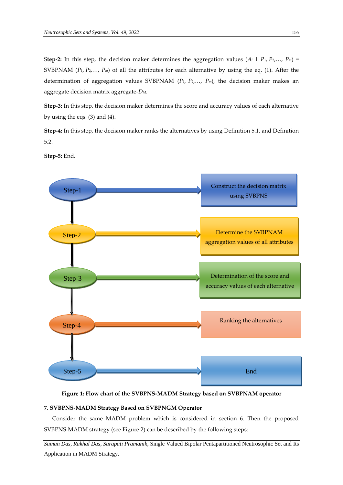Step-2: In this step, the decision maker determines the aggregation values  $(A_i \mid P_1, P_2, ..., P_m)$  = SVBPNAM ( $P_1$ ,  $P_2$ ,...,  $P_m$ ) of all the attributes for each alternative by using the eq. (1). After the determination of aggregation values SVBPNAM (*P*1, *P*2,…, *Pm*), the decision maker makes an aggregate decision matrix aggregate-*DM*.

**Step-3:** In this step, the decision maker determines the score and accuracy values of each alternative by using the eqs. (3) and (4).

**Step-4:** In this step, the decision maker ranks the alternatives by using Definition 5.1. and Definition 5.2.

**Step-5:** End.



**Figure 1: Flow chart of the SVBPNS-MADM Strategy based on SVBPNAM operator**

### **7. SVBPNS-MADM Strategy Based on SVBPNGM Operator**

Consider the same MADM problem which is considered in section 6. Then the proposed SVBPNS-MADM strategy (see Figure 2) can be described by the following steps: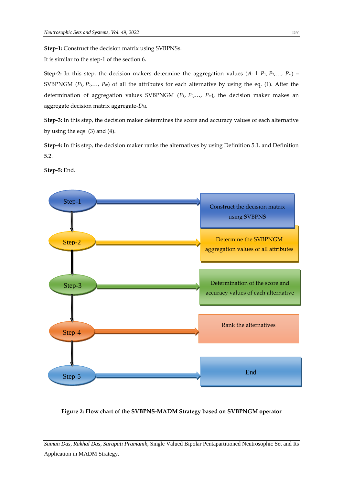**Step-1:** Construct the decision matrix using SVBPNSs.

It is similar to the step-1 of the section 6.

Step-2: In this step, the decision makers determine the aggregation values  $(A_i \mid P_1, P_2, ..., P_m)$  = SVBPNGM  $(P_1, P_2, \ldots, P_m)$  of all the attributes for each alternative by using the eq. (1). After the determination of aggregation values SVBPNGM  $(P_1, P_2, ..., P_m)$ , the decision maker makes an aggregate decision matrix aggregate-*DM*.

**Step-3:** In this step, the decision maker determines the score and accuracy values of each alternative by using the eqs. (3) and (4).

**Step-4:** In this step, the decision maker ranks the alternatives by using Definition 5.1. and Definition 5.2.



**Step-5:** End.

**Figure 2: Flow chart of the SVBPNS-MADM Strategy based on SVBPNGM operator**

*Suman Das, Rakhal Das, Surapati Pramanik,* Single Valued Bipolar Pentapartitioned Neutrosophic Set and Its Application in MADM Strategy.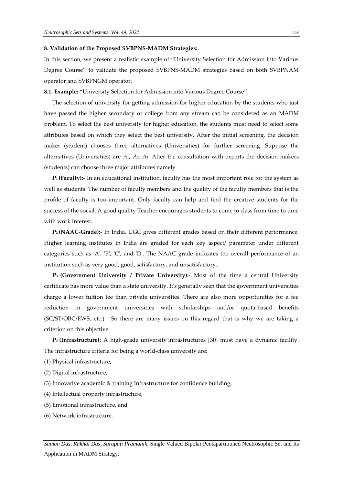#### **8. Validation of the Proposed SVBPNS-MADM Strategies:**

In this section, we present a realistic example of "University Selection for Admission into Various Degree Course" to validate the proposed SVBPNS-MADM strategies based on both SVBPNAM operator and SVBPNGM operator.

**8.1. Example:** "University Selection for Admission into Various Degree Course".

The selection of university for getting admission for higher education by the students who just have passed the higher secondary or college from any stream can be considered as an MADM problem. To select the best university for higher education, the students must need to select some attributes based on which they select the best university. After the initial screening, the decision maker (student) chooses three alternatives (Universities) for further screening. Suppose the alternatives (Universities) are *A*1, *A*2, *A*3. After the consultation with experts the decision makers (students) can choose three major attributes namely

*P***<sup>1</sup> (Faculty):-** In an educational institution, faculty has the most important role for the system as well as students. The number of faculty members and the quality of the faculty members that is the profile of faculty is too important. Only faculty can help and find the creative students for the success of the social. A good quality Teacher encourages students to come to class from time to time with work interest.

*P***<sup>2</sup> (NAAC-Grade):-** In India, UGC gives different grades based on their different performance. Higher learning institutes in India are graded for each key aspect/ parameter under different categories such as 'A', 'B', 'C', and 'D'. The NAAC grade indicates the overall performance of an institution such as very good, good, satisfactory, and unsatisfactory.

*P***<sup>3</sup> (Government University / Private University):**- Most of the time a central University certificate has more value than a state university. It's generally seen that the government universities charge a lower tuition fee than private universities. There are also more opportunities for a fee reduction in government universities with scholarships and/or quota-based benefits (SC/ST/OBC/EWS, etc.). So there are many issues on this regard that is why we are taking a criterion on this objective.

*P***<sup>4</sup> (Infrastructure):** A high-grade university infrastructures [30] must have a dynamic facility. The infrastructure criteria for being a world-class university are:

- (1) Physical infrastructure,
- (2) Digital infrastructure,
- (3) Innovative academic & training Infrastructure for confidence building,
- (4) Intellectual property infrastructure,
- (5) Emotional infrastructure, and
- (6) Network infrastructure,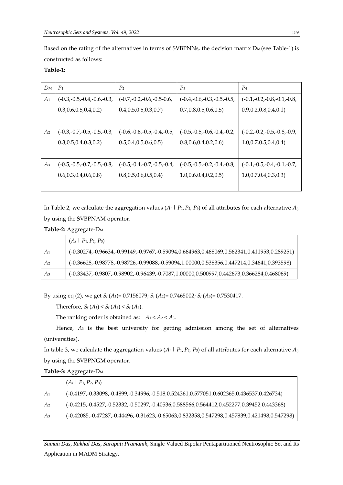Based on the rating of the alternatives in terms of SVBPNNs, the decision matrix  $D_M$  (see Table-1) is constructed as follows:

## **Table-1:**

| $D_M$          | $P_1$                        | P <sub>2</sub>               | $P_3$                        | P <sub>4</sub>               |
|----------------|------------------------------|------------------------------|------------------------------|------------------------------|
| A <sub>1</sub> | $(-0.3,-0.5,-0.4,-0.6,-0.3)$ | $(-0.7,-0.2,-0.6,-0.5-0.6,$  | $(-0.4,-0.6,-0.3,-0.5,-0.5,$ | $(-0.1,-0.2,-0.8,-0.1,-0.8)$ |
|                | 0.3, 0.6, 0.5, 0.4, 0.2      | 0.4, 0.5, 0.5, 0.3, 0.7      | 0.7, 0.8, 0.5, 0.6, 0.5)     | 0.9, 0.2, 0.8, 0.4, 0.1      |
|                |                              |                              |                              |                              |
| A <sub>2</sub> | $(-0.3,-0.7,-0.5,-0.5,-0.3)$ | $(-0.6,-0.6,-0.5,-0.4,-0.5)$ | $(-0.5,-0.5,-0.6,-0.4,-0.2)$ | $(-0.2,-0.2,-0.5,-0.8,-0.9,$ |
|                | 0.3, 0.5, 0.4, 0.3, 0.2      | 0.5, 0.4, 0.5, 0.6, 0.5)     | 0.8, 0.6, 0.4, 0.2, 0.6      | 1.0, 0.7, 0.5, 0.4, 0.4      |
|                |                              |                              |                              |                              |
| $A_3$          | $(-0.5,-0.5,-0.7,-0.5,-0.8)$ | $(-0.5,-0.4,-0.7,-0.5,-0.4,$ | $(-0.5,-0.5,-0.2,-0.4,-0.8)$ | $(-0.1,-0.5,-0.4,-0.1,-0.7)$ |
|                | 0.6, 0.3, 0.4, 0.6, 0.8      | 0.8, 0.5, 0.6, 0.5, 0.4      | 1.0, 0.6, 0.4, 0.2, 0.5      | 1.0, 0.7, 0.4, 0.3, 0.3      |
|                |                              |                              |                              |                              |

In Table 2, we calculate the aggregation values (*A<sup>i</sup>* | *P*1,*P*2, *P*3) of all attributes for each alternative *Ai*, by using the SVBPNAM operator.

**Table-2:** Aggregate-D<sup>M</sup>

|                | $(A_i \mid P_1, P_2, P_3)$                                                                           |
|----------------|------------------------------------------------------------------------------------------------------|
| A <sub>1</sub> | (-0.30274,-0.96634,-0.99149,-0.9767,-0.59094,0.664963,0.468069,0.562341,0.411953,0.289251)           |
| A <sub>2</sub> | $(-0.36628, -0.98778, -0.98726, -0.99088, -0.59094, 1.00000, 0.538356, 0.447214, 0.34641, 0.393598)$ |
| $A_3$          | (-0.33437,-0.9807,-0.98902,-0.96439,-0.7087,1.00000,0.500997,0.442673,0.366284,0.468069)             |

By using eq (2), we get *S<sup>f</sup>* (*A*1)= 0.7156079; *S<sup>f</sup>* (*A*2)= 0.7465002; *S<sup>f</sup>* (*A*3)= 0.7530417.

Therefore,  $S_f(A_1) < S_f(A_2) < S_f(A_3)$ .

The ranking order is obtained as:  $A_1 < A_2 < A_3$ .

Hence, *A*<sup>3</sup> is the best university for getting admission among the set of alternatives (universities).

In table 3, we calculate the aggregation values  $(A_i \mid P_1, P_2, P_3)$  of all attributes for each alternative  $A_i$ , by using the SVBPNGM operator.

| Table-3: Aggregate-D <sub>M</sub> |
|-----------------------------------|
|-----------------------------------|

|                | $(A_i \mid P_1, P_2, P_3)$                                                                             |
|----------------|--------------------------------------------------------------------------------------------------------|
| A <sub>1</sub> | (-0.4197,-0.33098,-0.4899,-0.34996,-0.518,0.524361,0.577051,0.602365,0.436537,0.426734)                |
| A <sub>2</sub> | $(-0.4215,-0.4527,-0.52332,-0.50297,-0.40536,0.588566,0.564412,0.452277,0.39452,0.443368)$             |
| A <sub>3</sub> | $(-0.42085, -0.47287, -0.44496, -0.31623, -0.65063, 0.832358, 0.547298, 0.457839, 0.421498, 0.547298)$ |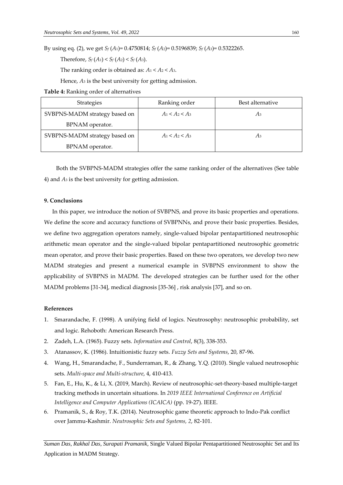By using eq. (2), we get *S<sup>f</sup>* (*A*1)= 0.4750814; *S<sup>f</sup>* (*A*2)= 0.5196839; *S<sup>f</sup>* (*A*3)= 0.5322265.

Therefore,  $S_f(A_1) < S_f(A_2) < S_f(A_3)$ .

The ranking order is obtained as:  $A_1 < A_2 < A_3$ .

Hence, *A*<sup>3</sup> is the best university for getting admission.

**Table 4:** Ranking order of alternatives

| <b>Strategies</b>             | Ranking order     | Best alternative |
|-------------------------------|-------------------|------------------|
| SVBPNS-MADM strategy based on | $A_1 < A_2 < A_3$ | Aз               |
| BPNAM operator.               |                   |                  |
| SVBPNS-MADM strategy based on | $A_1 < A_2 < A_3$ | Aз               |
| BPNAM operator.               |                   |                  |

Both the SVBPNS-MADM strategies offer the same ranking order of the alternatives (See table 4) and *A*<sup>3</sup> is the best university for getting admission.

## **9. Conclusions**

In this paper, we introduce the notion of SVBPNS, and prove its basic properties and operations. We define the score and accuracy functions of SVBPNNs, and prove their basic properties. Besides, we define two aggregation operators namely, single-valued bipolar pentapartitioned neutrosophic arithmetic mean operator and the single-valued bipolar pentapartitioned neutrosophic geometric mean operator, and prove their basic properties. Based on these two operators, we develop two new MADM strategies and present a numerical example in SVBPNS environment to show the applicability of SVBPNS in MADM. The developed strategies can be further used for the other MADM problems [31-34], medical diagnosis [35-36] , risk analysis [37], and so on.

#### **References**

- 1. Smarandache, F. (1998). A unifying field of logics. Neutrosophy: neutrosophic probability, set and logic. Rehoboth: American Research Press.
- 2. Zadeh, L.A. (1965). Fuzzy sets. *Information and Control*, 8(3), 338-353.
- 3. Atanassov, K. (1986). Intuitionistic fuzzy sets. *Fuzzy Sets and Systems*, 20, 87-96.
- 4. Wang, H., Smarandache, F., Sunderraman, R., & Zhang, Y.Q. (2010). Single valued neutrosophic sets. *Multi-space and Multi-structure*, 4, 410-413.
- 5. Fan, E., Hu, K., & Li, X. (2019, March). Review of neutrosophic-set-theory-based multiple-target tracking methods in uncertain situations. In *2019 IEEE International Conference on Artificial Intelligence and Computer Applications (ICAICA)* (pp. 19-27). IEEE.
- 6. Pramanik, S., & Roy, T.K. (2014). Neutrosophic game theoretic approach to Indo-Pak conflict over Jammu-Kashmir. *Neutrosophic Sets and Systems, 2*, 82-101.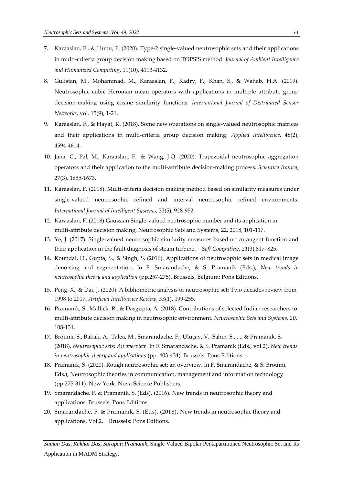- 7. Karaaslan, F., & Hunu, F. (2020). Type-2 single-valued neutrosophic sets and their applications in multi-criteria group decision making based on TOPSIS method. *Journal of Ambient Intelligence and Humanized Computing*, 11(10), 4113-4132.
- 8. Gulistan, M., Mohammad, M., Karaaslan, F., Kadry, F., Khan, S., & Wahab, H.A. (2019). Neutrosophic cubic Heronian mean operators with applications in multiple attribute group decision-making using cosine similarity functions. *International Journal of Distributed Sensor Networks*, vol. 15(9), 1-21.
- 9. Karaaslan, F., & Hayat, K. (2018). Some new operations on single-valued neutrosophic matrices and their applications in multi-criteria group decision making. *Applied Intelligence*, 48(2), 4594-4614.
- 10. Jana, C., Pal, M., Karaaslan, F., & Wang, J.Q. (2020). Trapezoidal neutrosophic aggregation operators and their application to the multi-attribute decision-making process. *Scientica Iranica*, 27(3), 1655-1673.
- 11. Karaaslan, F. (2018). Multi-criteria decision making method based on similarity measures under single-valued neutrosophic refined and interval neutrosophic refined environments. *International Journal of Intelligent Systems*, 33(5), 928-952.
- 12. Karaaslan, F. (2018).Gaussian Single-valued neutrosophic number and its application in multi-attribute decision making, Neutrosophic Sets and Systems, 22, 2018, 101-117.
- 13. Ye, J. (2017). Single-valued neutrosophic similarity measures based on cotangent function and their application in the fault diagnosis of steam turbine. *Soft Computing, 21*(3),817–825.
- 14. Koundal, D., Gupta, S., & Singh, S. (2016). Applications of neutrosophic sets in medical image denoising and segmentation. In F. Smarandache, & S. Pramanik (Eds.), *New trends in neutrosophic theory and application* (pp.257-275). Brussels, Belgium: Pons Editions.
- 15. Peng, X., & Dai, J. (2020). A bibliometric analysis of neutrosophic set: Two decades review from 1998 to 2017. *Artificial Intelligence Review*, *53*(1), 199-255.
- 16. Pramanik, S., Mallick, R., & Dasgupta, A. (2018). Contributions of selected Indian researchers to multi-attribute decision making in neutrosophic environment. *Neutrosophic Sets and Systems*, *20*, 108-131.
- 17. Broumi, S., Bakali, A., Talea, M., Smarandache, F., Uluçay, V., Sahin, S., ..., & Pramanik, S. (2018). *Neutrosophic sets: An overview.* In F. Smarandache, & S. Pramanik (Eds., vol.2), *New trends in neutrosophic theory and applications* (pp. 403-434). Brussels: Pons Editions.
- 18. Pramanik, S. (2020). Rough neutrosophic set: an overview. In F. Smarandache, & S. Broumi, Eds.), Neutrosophic theories in communication, management and information technology (pp.275-311). New York. Nova Science Publishers.
- 19. Smarandache, F. & Pramanik, S. (Eds). (2016). New trends in neutrosophic theory and applications. Brussels: Pons Editions.
- 20. Smarandache, F. & Pramanik, S. (Eds). (2018). New trends in neutrosophic theory and applications, Vol.2. Brussels: Pons Editions.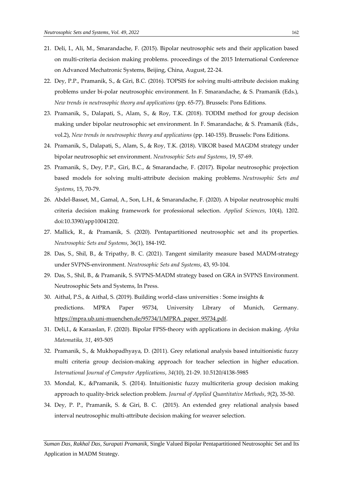- 21. Deli, I., Ali, M., Smarandache, F. (2015). Bipolar neutrosophic sets and their application based on multi-criteria decision making problems. proceedings of the 2015 International Conference on Advanced Mechatronic Systems, Beijing, China, August, 22-24.
- 22. Dey, P.P., Pramanik, S., & Giri, B.C. (2016). TOPSIS for solving multi-attribute decision making problems under bi-polar neutrosophic environment. In F. Smarandache, & S. Pramanik (Eds.), *New trends in neutrosophic theory and applications* (pp. 65-77). Brussels: Pons Editions.
- 23. Pramanik, S., Dalapati, S., Alam, S., & Roy, T.K. (2018). TODIM method for group decision making under bipolar neutrosophic set environment. In F. Smarandache, & S. Pramanik (Eds., vol.2), *New trends in neutrosophic theory and applications* (pp. 140-155). Brussels: Pons Editions.
- 24. Pramanik, S., Dalapati, S., Alam, S., & Roy, T.K. (2018). VIKOR based MAGDM strategy under bipolar neutrosophic set environment. *Neutrosophic Sets and Systems*, 19, 57-69.
- 25. Pramanik, S., Dey, P.P., Giri, B.C., & Smarandache, F. (2017). Bipolar neutrosophic projection based models for solving multi-attribute decision making problems. *Neutrosophic Sets and Systems*, 15, 70-79.
- 26. Abdel-Basset, M., Gamal, A., Son, L.H., & Smarandache, F. (2020). A bipolar neutrosophic multi criteria decision making framework for professional selection. *Applied Sciences*, 10(4), 1202. doi:10.3390/app10041202.
- 27. Mallick, R., & Pramanik, S. (2020). Pentapartitioned neutrosophic set and its properties. *Neutrosophic Sets and Systems*, 36(1), 184-192.
- 28. Das, S., Shil, B., & Tripathy, B. C. (2021). Tangent similarity measure based MADM-strategy under SVPNS-environment. *Neutrosophic Sets and Systems*, 43, 93-104.
- 29. Das, S., Shil, B., & Pramanik, S. SVPNS-MADM strategy based on GRA in SVPNS Environment. Neutrosophic Sets and Systems, In Press.
- 30. Aithal, P.S., & Aithal, S. (2019). Building world-class universities : Some insights & predictions. MPRA Paper 95734, University Library of Munich, Germany. [https://mpra.ub.uni-muenchen.de/95734/1/MPRA\\_paper\\_95734.pdf.](https://mpra.ub.uni-muenchen.de/95734/1/MPRA_paper_95734.pdf)
- 31. Deli,I., & Karaaslan, F. (2020). Bipolar FPSS-theory with applications in decision making. *Afrika Matematika, 31*, 493-505
- 32. Pramanik, S., & Mukhopadhyaya, D. (2011). Grey relational analysis based intuitionistic fuzzy multi criteria group decision-making approach for teacher selection in higher education. *International Journal of Computer Applications*, *34*(10), 21-29. 10.5120/4138-5985
- 33. Mondal, K., &Pramanik, S. (2014). Intuitionistic fuzzy multicriteria group decision making approach to quality-brick selection problem. *Journal of Applied Quantitative Methods*, *9*(2), 35-50.
- 34. Dey, P. P., Pramanik, S. & Giri, B. C. (2015). An extended grey relational analysis based interval neutrosophic multi-attribute decision making for weaver selection.